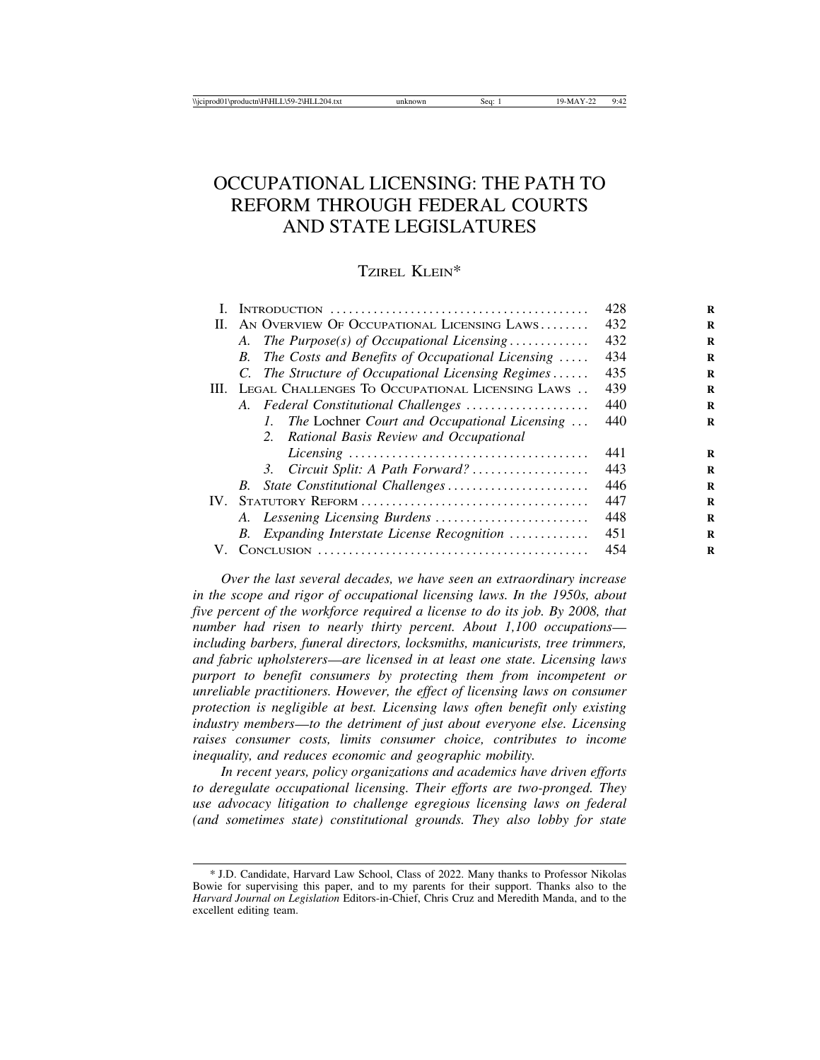# OCCUPATIONAL LICENSING: THE PATH TO REFORM THROUGH FEDERAL COURTS AND STATE LEGISLATURES

# TZIREL KLEIN\*

|    |                                                                   | 428 |
|----|-------------------------------------------------------------------|-----|
| П. | AN OVERVIEW OF OCCUPATIONAL LICENSING LAWS                        | 432 |
|    | A. The Purpose(s) of Occupational Licensing                       | 432 |
|    | The Costs and Benefits of Occupational Licensing $\ldots$ .<br>B. | 434 |
|    | C. The Structure of Occupational Licensing Regimes                | 435 |
|    | III. LEGAL CHALLENGES TO OCCUPATIONAL LICENSING LAWS              | 439 |
|    | A. Federal Constitutional Challenges                              | 440 |
|    | The Lochner Court and Occupational Licensing<br>L.                | 440 |
|    | 2. Rational Basis Review and Occupational                         |     |
|    |                                                                   | 441 |
|    | 3. Circuit Split: A Path Forward?                                 | 443 |
|    | B.                                                                | 446 |
|    |                                                                   | 447 |
|    |                                                                   | 448 |
|    | B. Expanding Interstate License Recognition                       | 451 |
| V. |                                                                   | 454 |

*Over the last several decades, we have seen an extraordinary increase in the scope and rigor of occupational licensing laws. In the 1950s, about five percent of the workforce required a license to do its job. By 2008, that number had risen to nearly thirty percent. About 1,100 occupations including barbers, funeral directors, locksmiths, manicurists, tree trimmers, and fabric upholsterers*—*are licensed in at least one state. Licensing laws purport to benefit consumers by protecting them from incompetent or unreliable practitioners. However, the effect of licensing laws on consumer protection is negligible at best. Licensing laws often benefit only existing industry members*—*to the detriment of just about everyone else. Licensing raises consumer costs, limits consumer choice, contributes to income inequality, and reduces economic and geographic mobility.*

*In recent years, policy organizations and academics have driven efforts to deregulate occupational licensing. Their efforts are two-pronged. They use advocacy litigation to challenge egregious licensing laws on federal (and sometimes state) constitutional grounds. They also lobby for state*

<sup>\*</sup> J.D. Candidate, Harvard Law School, Class of 2022. Many thanks to Professor Nikolas Bowie for supervising this paper, and to my parents for their support. Thanks also to the *Harvard Journal on Legislation* Editors-in-Chief, Chris Cruz and Meredith Manda, and to the excellent editing team.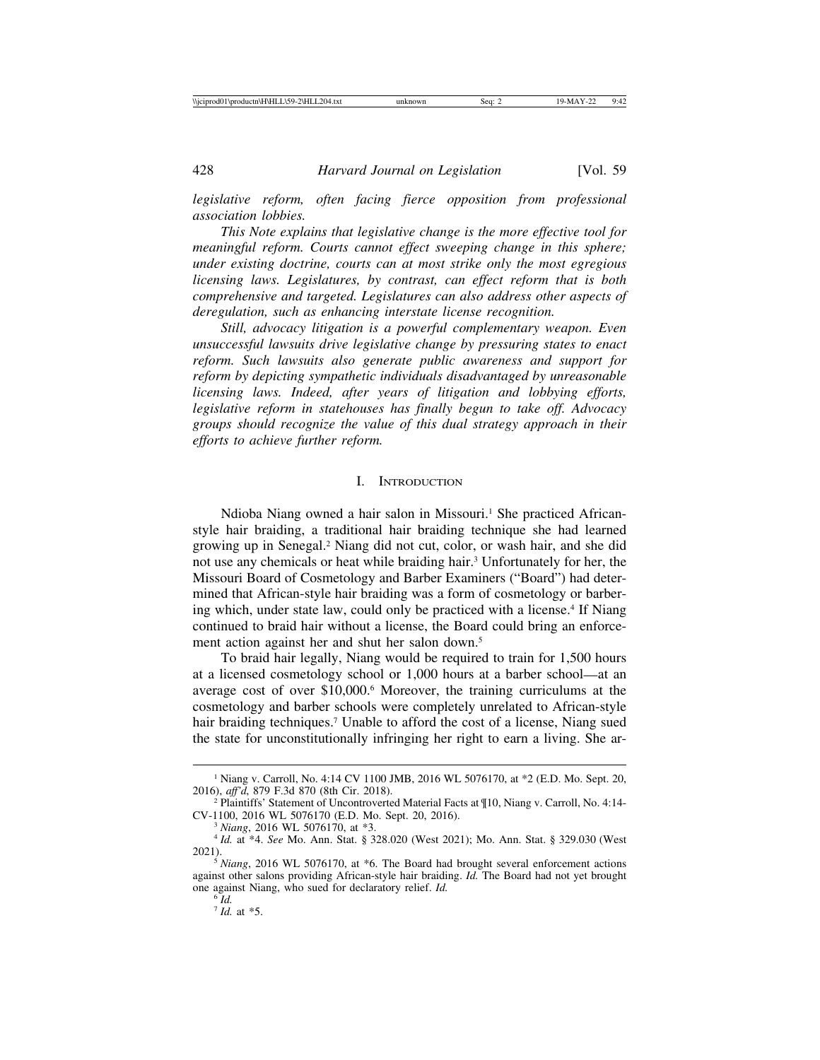*legislative reform, often facing fierce opposition from professional association lobbies.*

*This Note explains that legislative change is the more effective tool for meaningful reform. Courts cannot effect sweeping change in this sphere; under existing doctrine, courts can at most strike only the most egregious licensing laws. Legislatures, by contrast, can effect reform that is both comprehensive and targeted. Legislatures can also address other aspects of deregulation, such as enhancing interstate license recognition.*

*Still, advocacy litigation is a powerful complementary weapon. Even unsuccessful lawsuits drive legislative change by pressuring states to enact reform. Such lawsuits also generate public awareness and support for reform by depicting sympathetic individuals disadvantaged by unreasonable licensing laws. Indeed, after years of litigation and lobbying efforts, legislative reform in statehouses has finally begun to take off. Advocacy groups should recognize the value of this dual strategy approach in their efforts to achieve further reform.*

## I. INTRODUCTION

Ndioba Niang owned a hair salon in Missouri.<sup>1</sup> She practiced Africanstyle hair braiding, a traditional hair braiding technique she had learned growing up in Senegal.2 Niang did not cut, color, or wash hair, and she did not use any chemicals or heat while braiding hair.3 Unfortunately for her, the Missouri Board of Cosmetology and Barber Examiners ("Board") had determined that African-style hair braiding was a form of cosmetology or barbering which, under state law, could only be practiced with a license.4 If Niang continued to braid hair without a license, the Board could bring an enforcement action against her and shut her salon down.5

To braid hair legally, Niang would be required to train for 1,500 hours at a licensed cosmetology school or 1,000 hours at a barber school—at an average cost of over \$10,000.6 Moreover, the training curriculums at the cosmetology and barber schools were completely unrelated to African-style hair braiding techniques.<sup>7</sup> Unable to afford the cost of a license, Niang sued the state for unconstitutionally infringing her right to earn a living. She ar-

<sup>&</sup>lt;sup>1</sup> Niang v. Carroll, No. 4:14 CV 1100 JMB, 2016 WL 5076170, at \*2 (E.D. Mo. Sept. 20, 2016), *aff d*, 879 F.3d 870 (8th Cir. 2018).

<sup>&</sup>lt;sup>2</sup> Plaintiffs' Statement of Uncontroverted Material Facts at ¶10, Niang v. Carroll, No. 4:14-CV-1100, 2016 WL 5076170 (E.D. Mo. Sept. 20, 2016).

<sup>&</sup>lt;sup>3</sup> *Niang*, 2016 WL 5076170, at \*3.<br>
<sup>4</sup> *Id.* at \*4. *See* Mo. Ann. Stat. § 328.020 (West 2021); Mo. Ann. Stat. § 329.030 (West 2021).

 $\frac{3}{5}$  *Niang*, 2016 WL 5076170, at  $*6$ . The Board had brought several enforcement actions against other salons providing African-style hair braiding. *Id.* The Board had not yet brought one against Niang, who sued for declaratory relief. *Id.* <sup>6</sup> *Id.*

<sup>7</sup> *Id.* at \*5.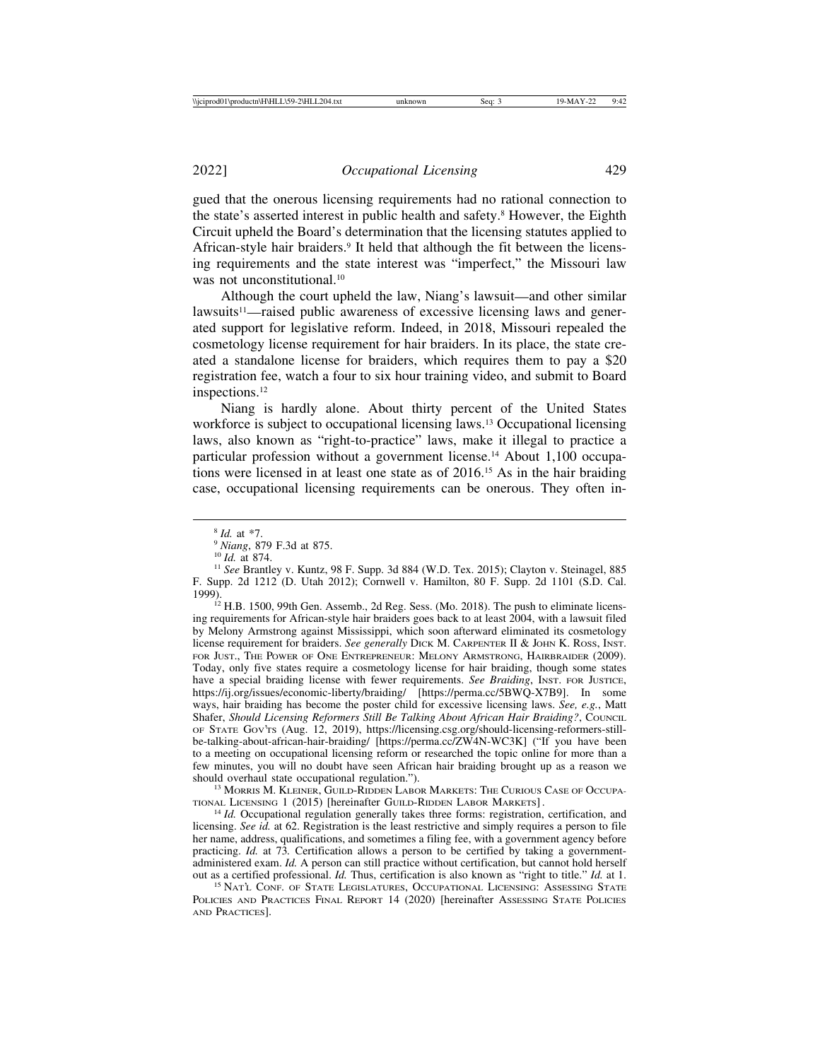gued that the onerous licensing requirements had no rational connection to the state's asserted interest in public health and safety.8 However, the Eighth Circuit upheld the Board's determination that the licensing statutes applied to African-style hair braiders.<sup>9</sup> It held that although the fit between the licensing requirements and the state interest was "imperfect," the Missouri law was not unconstitutional.<sup>10</sup>

Although the court upheld the law, Niang's lawsuit—and other similar lawsuits<sup>11</sup>—raised public awareness of excessive licensing laws and generated support for legislative reform. Indeed, in 2018, Missouri repealed the cosmetology license requirement for hair braiders. In its place, the state created a standalone license for braiders, which requires them to pay a \$20 registration fee, watch a four to six hour training video, and submit to Board inspections.12

Niang is hardly alone. About thirty percent of the United States workforce is subject to occupational licensing laws.<sup>13</sup> Occupational licensing laws, also known as "right-to-practice" laws, make it illegal to practice a particular profession without a government license.<sup>14</sup> About 1,100 occupations were licensed in at least one state as of 2016.15 As in the hair braiding case, occupational licensing requirements can be onerous. They often in-

 $12$  H.B. 1500, 99th Gen. Assemb., 2d Reg. Sess. (Mo. 2018). The push to eliminate licensing requirements for African-style hair braiders goes back to at least 2004, with a lawsuit filed by Melony Armstrong against Mississippi, which soon afterward eliminated its cosmetology license requirement for braiders. *See generally* DICK M. CARPENTER II & JOHN K. ROSS, INST. FOR JUST., THE POWER OF ONE ENTREPRENEUR: MELONY ARMSTRONG, HAIRBRAIDER (2009). Today, only five states require a cosmetology license for hair braiding, though some states have a special braiding license with fewer requirements. *See Braiding*, INST. FOR JUSTICE, https://ij.org/issues/economic-liberty/braiding/ [https://perma.cc/5BWQ-X7B9]. In some ways, hair braiding has become the poster child for excessive licensing laws. *See, e.g.*, Matt Shafer, *Should Licensing Reformers Still Be Talking About African Hair Braiding?*, COUNCIL OF STATE GOV'TS (Aug. 12, 2019), https://licensing.csg.org/should-licensing-reformers-stillbe-talking-about-african-hair-braiding/ [https://perma.cc/ZW4N-WC3K] ("If you have been to a meeting on occupational licensing reform or researched the topic online for more than a few minutes, you will no doubt have seen African hair braiding brought up as a reason we should overhaul state occupational regulation.").

<sup>13</sup> MORRIS M. KLEINER, GUILD-RIDDEN LABOR MARKETS: THE CURIOUS CASE OF OCCUPATIONAL LICENSING 1 (2015) [hereinafter GUILD-RIDDEN LABOR MARKETS].

 $14$  *Id.* Occupational regulation generally takes three forms: registration, certification, and licensing. *See id.* at 62. Registration is the least restrictive and simply requires a person to file her name, address, qualifications, and sometimes a filing fee, with a government agency before practicing. *Id.* at 73*.* Certification allows a person to be certified by taking a governmentadministered exam. *Id.* A person can still practice without certification, but cannot hold herself out as a certified professional. *Id.* Thus, certification is also known as "right to title." *Id.* at 1. <sup>15</sup> NAT'L CONF. OF STATE LEGISLATURES, OCCUPATIONAL LICENSING: ASSESSING STATE

POLICIES AND PRACTICES FINAL REPORT 14 (2020) [hereinafter ASSESSING STATE POLICIES AND PRACTICES].

<sup>&</sup>lt;sup>8</sup> *Id.* at \*7.<br><sup>9</sup> *Niang*, 879 F.3d at 875.<br><sup>10</sup> *Id.* at 874. 11 *See* Brantley v. Kuntz, 98 F. Supp. 3d 884 (W.D. Tex. 2015); Clayton v. Steinagel, 885 F. Supp. 2d 1212 (D. Utah 2012); Cornwell v. Hamilton, 80 F. Supp. 2d 1101 (S.D. Cal.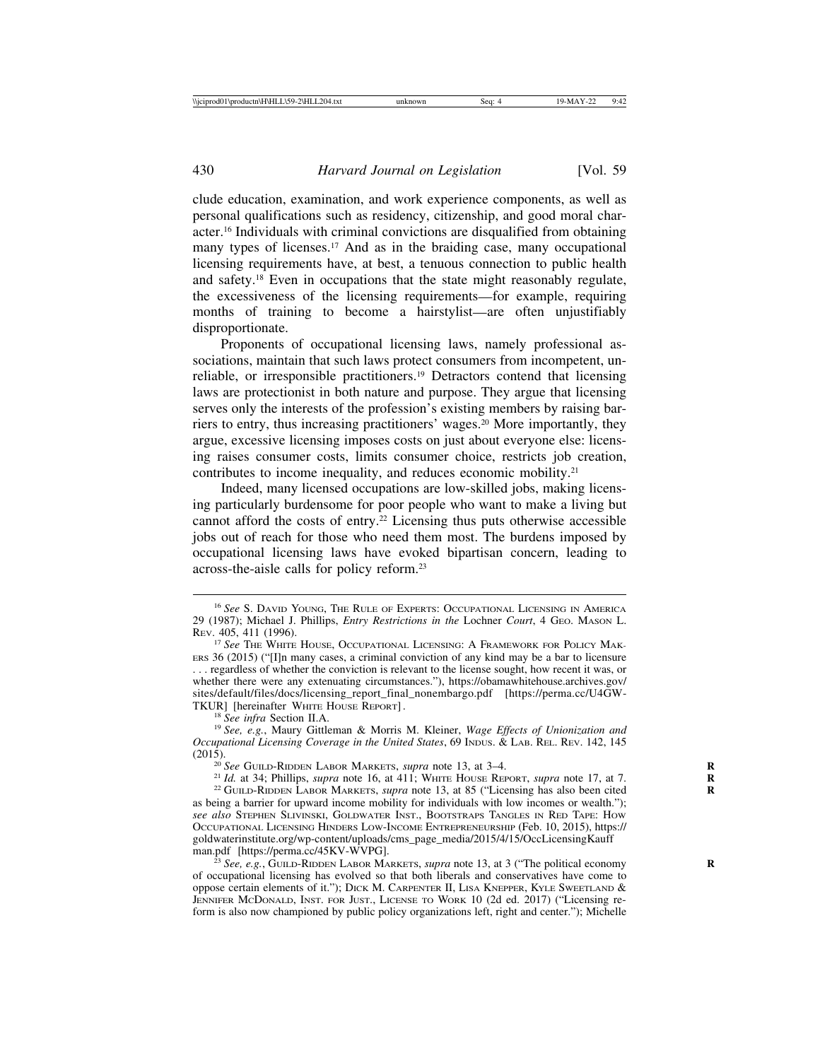clude education, examination, and work experience components, as well as personal qualifications such as residency, citizenship, and good moral character.16 Individuals with criminal convictions are disqualified from obtaining many types of licenses.<sup>17</sup> And as in the braiding case, many occupational licensing requirements have, at best, a tenuous connection to public health and safety.18 Even in occupations that the state might reasonably regulate, the excessiveness of the licensing requirements—for example, requiring months of training to become a hairstylist—are often unjustifiably disproportionate.

Proponents of occupational licensing laws, namely professional associations, maintain that such laws protect consumers from incompetent, unreliable, or irresponsible practitioners.19 Detractors contend that licensing laws are protectionist in both nature and purpose. They argue that licensing serves only the interests of the profession's existing members by raising barriers to entry, thus increasing practitioners' wages.20 More importantly, they argue, excessive licensing imposes costs on just about everyone else: licensing raises consumer costs, limits consumer choice, restricts job creation, contributes to income inequality, and reduces economic mobility.21

Indeed, many licensed occupations are low-skilled jobs, making licensing particularly burdensome for poor people who want to make a living but cannot afford the costs of entry.22 Licensing thus puts otherwise accessible jobs out of reach for those who need them most. The burdens imposed by occupational licensing laws have evoked bipartisan concern, leading to across-the-aisle calls for policy reform.23

<sup>16</sup> *See* S. DAVID YOUNG, THE RULE OF EXPERTS: OCCUPATIONAL LICENSING IN AMERICA 29 (1987); Michael J. Phillips, *Entry Restrictions in the* Lochner *Court*, 4 GEO. MASON L. REV. 405, 411 (1996).

<sup>&</sup>lt;sup>17</sup> See The White HOUSE, OCCUPATIONAL LICENSING: A FRAMEWORK FOR POLICY MAK-ERS 36 (2015) ("[I]n many cases, a criminal conviction of any kind may be a bar to licensure . . . regardless of whether the conviction is relevant to the license sought, how recent it was, or whether there were any extenuating circumstances."), https://obamawhitehouse.archives.gov/ sites/default/files/docs/licensing\_report\_final\_nonembargo.pdf [https://perma.cc/U4GW-TKUR] [hereinafter WHITE HOUSE REPORT].

<sup>&</sup>lt;sup>18</sup> See infra Section II.A.<br><sup>19</sup> See, e.g., Maury Gittleman & Morris M. Kleiner, *Wage Effects of Unionization and Occupational Licensing Coverage in the United States*, 69 INDUS. & LAB. REL. REV. 142, 145 (2015).

<sup>&</sup>lt;sup>20</sup> See GUILD-RIDDEN LABOR MARKETS, *supra* note 13, at 3–4.<br><sup>21</sup> *Id.* at 34; Phillips, *supra* note 16, at 411; WHITE HOUSE REPORT, *supra* note 17, at 7.<br><sup>22</sup> GUILD-RIDDEN LABOR MARKETS, *supra* note 13, at 85 ("Licen as being a barrier for upward income mobility for individuals with low incomes or wealth."); *see also* STEPHEN SLIVINSKI, GOLDWATER INST., BOOTSTRAPS TANGLES IN RED TAPE: HOW OCCUPATIONAL LICENSING HINDERS LOW-INCOME ENTREPRENEURSHIP (Feb. 10, 2015), https:// goldwaterinstitute.org/wp-content/uploads/cms\_page\_media/2015/4/15/OccLicensingKauff

See, e.g., GUILD-RIDDEN LABOR MARKETS, *supra* note 13, at 3 ("The political economy of occupational licensing has evolved so that both liberals and conservatives have come to oppose certain elements of it."); DICK M. CARPENTER II, LISA KNEPPER, KYLE SWEETLAND & JENNIFER MCDONALD, INST. FOR JUST., LICENSE TO WORK 10 (2d ed. 2017) ("Licensing reform is also now championed by public policy organizations left, right and center."); Michelle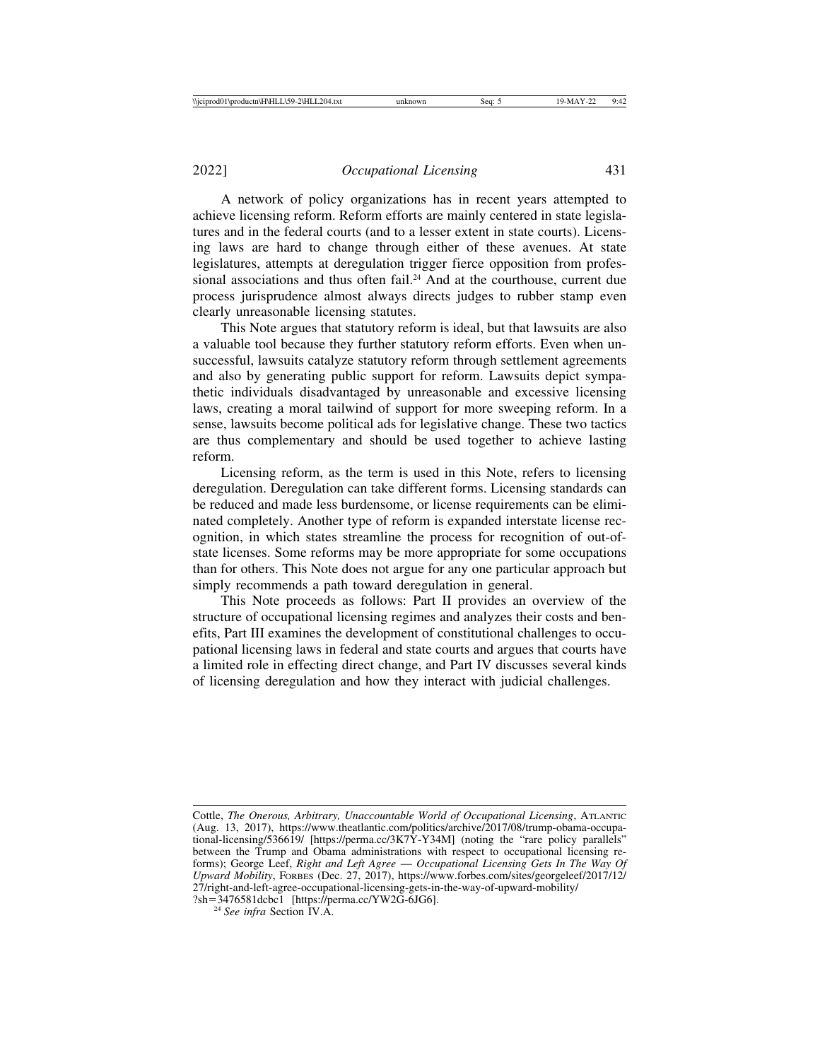A network of policy organizations has in recent years attempted to achieve licensing reform. Reform efforts are mainly centered in state legislatures and in the federal courts (and to a lesser extent in state courts). Licensing laws are hard to change through either of these avenues. At state legislatures, attempts at deregulation trigger fierce opposition from professional associations and thus often fail.24 And at the courthouse, current due process jurisprudence almost always directs judges to rubber stamp even clearly unreasonable licensing statutes.

This Note argues that statutory reform is ideal, but that lawsuits are also a valuable tool because they further statutory reform efforts. Even when unsuccessful, lawsuits catalyze statutory reform through settlement agreements and also by generating public support for reform. Lawsuits depict sympathetic individuals disadvantaged by unreasonable and excessive licensing laws, creating a moral tailwind of support for more sweeping reform. In a sense, lawsuits become political ads for legislative change. These two tactics are thus complementary and should be used together to achieve lasting reform.

Licensing reform, as the term is used in this Note, refers to licensing deregulation. Deregulation can take different forms. Licensing standards can be reduced and made less burdensome, or license requirements can be eliminated completely. Another type of reform is expanded interstate license recognition, in which states streamline the process for recognition of out-ofstate licenses. Some reforms may be more appropriate for some occupations than for others. This Note does not argue for any one particular approach but simply recommends a path toward deregulation in general.

This Note proceeds as follows: Part II provides an overview of the structure of occupational licensing regimes and analyzes their costs and benefits, Part III examines the development of constitutional challenges to occupational licensing laws in federal and state courts and argues that courts have a limited role in effecting direct change, and Part IV discusses several kinds of licensing deregulation and how they interact with judicial challenges.

Cottle, *The Onerous, Arbitrary, Unaccountable World of Occupational Licensing*, ATLANTIC (Aug. 13, 2017), https://www.theatlantic.com/politics/archive/2017/08/trump-obama-occupational-licensing/536619/ [https://perma.cc/3K7Y-Y34M] (noting the "rare policy parallels" between the Trump and Obama administrations with respect to occupational licensing reforms); George Leef, *Right and Left Agree* — *Occupational Licensing Gets In The Way Of Upward Mobility*, FORBES (Dec. 27, 2017), https://www.forbes.com/sites/georgeleef/2017/12/ 27/right-and-left-agree-occupational-licensing-gets-in-the-way-of-upward-mobility/

<sup>?</sup>sh=3476581dcbc1 [https://perma.cc/YW2G-6JG6]. <sup>24</sup> *See infra* Section IV.A.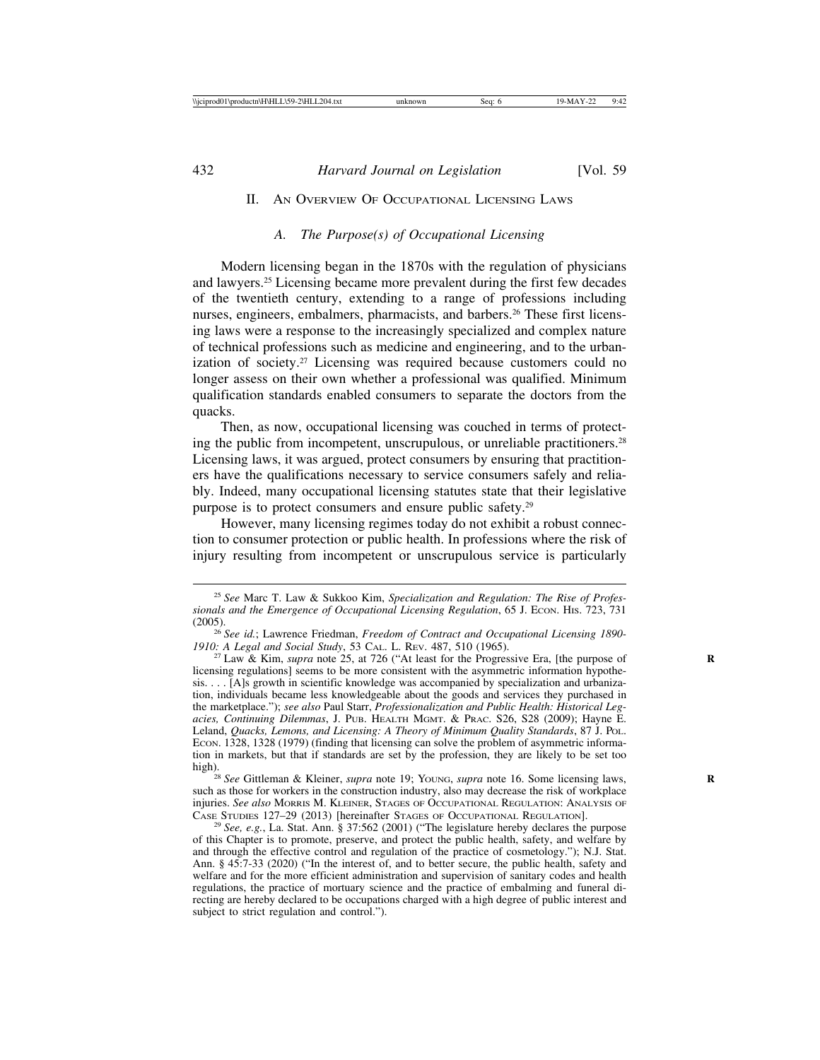## II. AN OVERVIEW OF OCCUPATIONAL LICENSING LAWS

## *A. The Purpose(s) of Occupational Licensing*

Modern licensing began in the 1870s with the regulation of physicians and lawyers.25 Licensing became more prevalent during the first few decades of the twentieth century, extending to a range of professions including nurses, engineers, embalmers, pharmacists, and barbers.<sup>26</sup> These first licensing laws were a response to the increasingly specialized and complex nature of technical professions such as medicine and engineering, and to the urbanization of society.27 Licensing was required because customers could no longer assess on their own whether a professional was qualified. Minimum qualification standards enabled consumers to separate the doctors from the quacks.

Then, as now, occupational licensing was couched in terms of protecting the public from incompetent, unscrupulous, or unreliable practitioners.28 Licensing laws, it was argued, protect consumers by ensuring that practitioners have the qualifications necessary to service consumers safely and reliably. Indeed, many occupational licensing statutes state that their legislative purpose is to protect consumers and ensure public safety.29

However, many licensing regimes today do not exhibit a robust connection to consumer protection or public health. In professions where the risk of injury resulting from incompetent or unscrupulous service is particularly

<sup>28</sup> See Gittleman & Kleiner, *supra* note 19; Young, *supra* note 16. Some licensing laws, such as those for workers in the construction industry, also may decrease the risk of workplace injuries. *See also* Morris M. Kleiner, Stages of Occupational Regulation: Analysis of Case Studies 127–29 (2013) [hereinafter Stages of Occupational Regulation].

<sup>25</sup> *See* Marc T. Law & Sukkoo Kim, *Specialization and Regulation: The Rise of Professionals and the Emergence of Occupational Licensing Regulation*, 65 J. Econ. His. 723, 731 (2005).

<sup>&</sup>lt;sup>26</sup> *See id.*; Lawrence Friedman, *Freedom of Contract and Occupational Licensing 1890-1910: A Legal and Social Study, 53 CAL. L. REV. 487, 510 (1965).* 

<sup>&</sup>lt;sup>27</sup> Law & Kim, *supra* note 25, at 726 ("At least for the Progressive Era, [the purpose of licensing regulations] seems to be more consistent with the asymmetric information hypothesis. . . . [A]s growth in scientific knowledge was accompanied by specialization and urbanization, individuals became less knowledgeable about the goods and services they purchased in the marketplace."); *see also* Paul Starr, *Professionalization and Public Health: Historical Legacies, Continuing Dilemmas*, J. PUB. HEALTH MGMT. & PRAC. S26, S28 (2009); Hayne E. Leland, *Quacks, Lemons, and Licensing: A Theory of Minimum Quality Standards*, 87 J. POL. ECON. 1328, 1328 (1979) (finding that licensing can solve the problem of asymmetric information in markets, but that if standards are set by the profession, they are likely to be set too

<sup>&</sup>lt;sup>29</sup> *See, e.g.*, La. Stat. Ann. § 37:562 (2001) ("The legislature hereby declares the purpose of this Chapter is to promote, preserve, and protect the public health, safety, and welfare by and through the effective control and regulation of the practice of cosmetology."); N.J. Stat. Ann. § 45:7-33 (2020) ("In the interest of, and to better secure, the public health, safety and welfare and for the more efficient administration and supervision of sanitary codes and health regulations, the practice of mortuary science and the practice of embalming and funeral directing are hereby declared to be occupations charged with a high degree of public interest and subject to strict regulation and control.").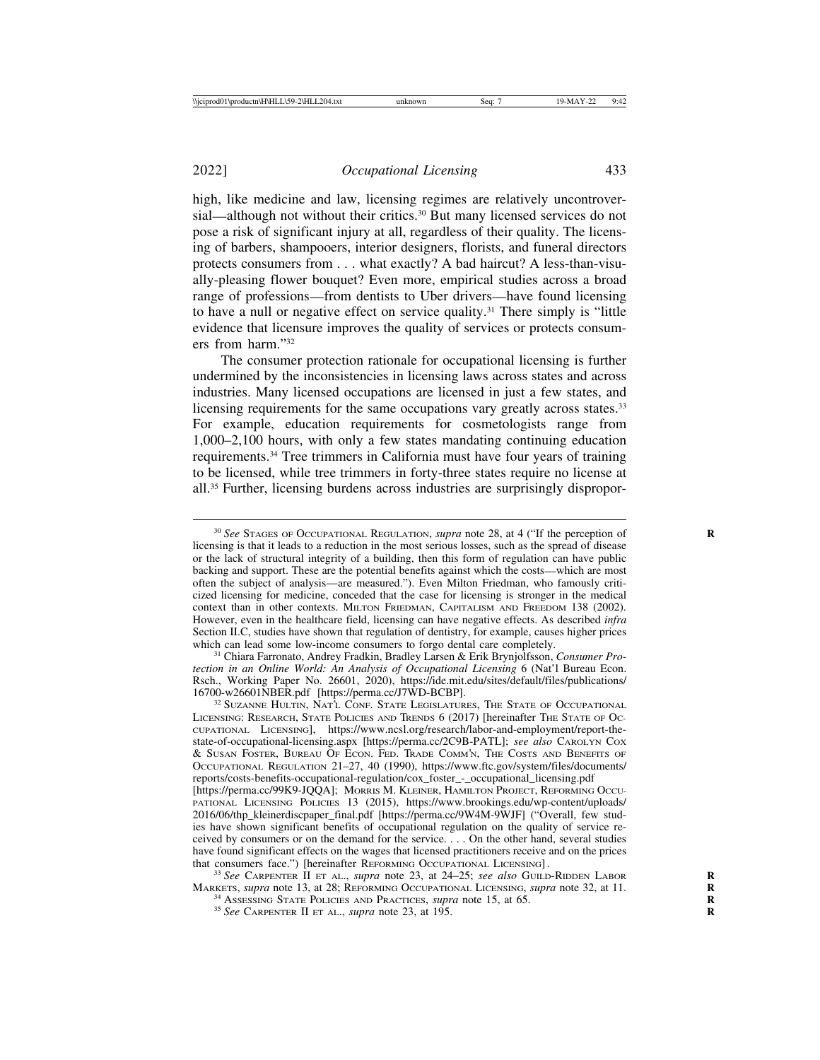2022] *Occupational Licensing* 433

high, like medicine and law, licensing regimes are relatively uncontroversial—although not without their critics.<sup>30</sup> But many licensed services do not pose a risk of significant injury at all, regardless of their quality. The licensing of barbers, shampooers, interior designers, florists, and funeral directors protects consumers from . . . what exactly? A bad haircut? A less-than-visually-pleasing flower bouquet? Even more, empirical studies across a broad range of professions—from dentists to Uber drivers—have found licensing to have a null or negative effect on service quality.31 There simply is "little evidence that licensure improves the quality of services or protects consumers from harm."32

The consumer protection rationale for occupational licensing is further undermined by the inconsistencies in licensing laws across states and across industries. Many licensed occupations are licensed in just a few states, and licensing requirements for the same occupations vary greatly across states.<sup>33</sup> For example, education requirements for cosmetologists range from 1,000–2,100 hours, with only a few states mandating continuing education requirements.34 Tree trimmers in California must have four years of training to be licensed, while tree trimmers in forty-three states require no license at all.35 Further, licensing burdens across industries are surprisingly dispropor-

<sup>31</sup> Chiara Farronato, Andrey Fradkin, Bradley Larsen & Erik Brynjolfsson, *Consumer Protection in an Online World: An Analysis of Occupational Licensing* 6 (Nat'l Bureau Econ. Rsch., Working Paper No. 26601, 2020), https://ide.mit.edu/sites/default/files/publications/

 $^{32}$  Suzanne Hultin, Nat'l Conf. State Legislatures, The State of Occupational LICENSING: RESEARCH, STATE POLICIES AND TRENDS 6 (2017) [hereinafter THE STATE OF OC-CUPATIONAL LICENSING], https://www.ncsl.org/research/labor-and-employment/report-thestate-of-occupational-licensing.aspx [https://perma.cc/2C9B-PATL]; *see also* CAROLYN COX & SUSAN FOSTER, BUREAU OF ECON. FED. TRADE COMM'N, THE COSTS AND BENEFITS OF OCCUPATIONAL REGULATION 21–27, 40 (1990), https://www.ftc.gov/system/files/documents/ reports/costs-benefits-occupational-regulation/cox\_foster\_-\_occupational\_licensing.pdf [https://perma.cc/99K9-JQQA]; MORRIS M. KLEINER, HAMILTON PROJECT, REFORMING OCCU-PATIONAL LICENSING POLICIES 13 (2015), https://www.brookings.edu/wp-content/uploads/ 2016/06/thp\_kleinerdiscpaper\_final.pdf [https://perma.cc/9W4M-9WJF] ("Overall, few studies have shown significant benefits of occupational regulation on the quality of service received by consumers or on the demand for the service. . . . On the other hand, several studies have found significant effects on the wages that licensed practitioners receive and on the prices that consumers face.") [hereinafter REFORMING OCCUPATIONAL LICENSING].

<sup>33</sup> See CARPENTER II ET AL., *supra* note 23, at 24–25; *see also* GUILD-RIDDEN LABOR MARKETS, *supra* note 13, at 28; REFORMING OCCUPATIONAL LICENSING, *supra* note 32, at 11.<br><sup>34</sup> ASSESSING STATE POLICIES AND PRACTICES, *supra* note 15, at 65.<br><sup>35</sup> See CARPENTER II ET AL., *supra* note 23, at 195.

<sup>&</sup>lt;sup>30</sup> See STAGES OF OCCUPATIONAL REGULATION, *supra* note 28, at 4 ("If the perception of licensing is that it leads to a reduction in the most serious losses, such as the spread of disease or the lack of structural integrity of a building, then this form of regulation can have public backing and support. These are the potential benefits against which the costs—which are most often the subject of analysis—are measured."). Even Milton Friedman, who famously criticized licensing for medicine, conceded that the case for licensing is stronger in the medical context than in other contexts. MILTON FRIEDMAN, CAPITALISM AND FREEDOM 138 (2002). However, even in the healthcare field, licensing can have negative effects. As described *infra* Section II.C, studies have shown that regulation of dentistry, for example, causes higher prices which can lead some low-income consumers to forgo dental care completely.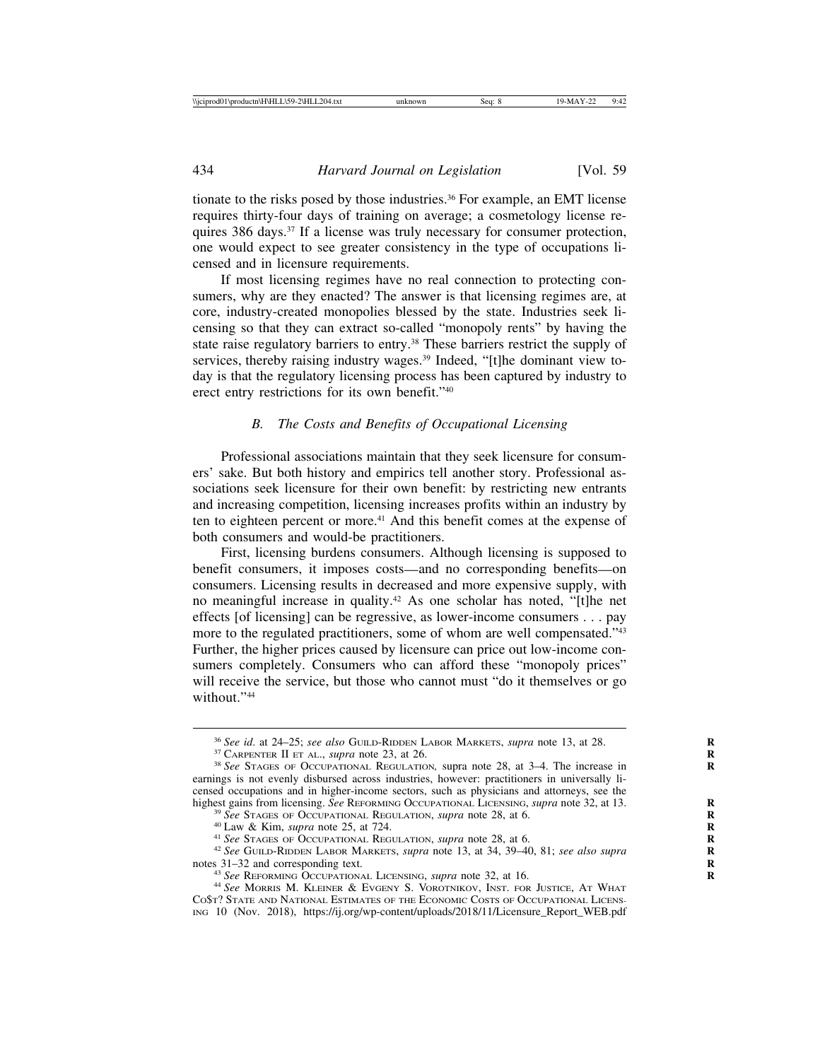tionate to the risks posed by those industries.<sup>36</sup> For example, an EMT license requires thirty-four days of training on average; a cosmetology license requires 386 days.37 If a license was truly necessary for consumer protection, one would expect to see greater consistency in the type of occupations licensed and in licensure requirements.

If most licensing regimes have no real connection to protecting consumers, why are they enacted? The answer is that licensing regimes are, at core, industry-created monopolies blessed by the state. Industries seek licensing so that they can extract so-called "monopoly rents" by having the state raise regulatory barriers to entry.38 These barriers restrict the supply of services, thereby raising industry wages.<sup>39</sup> Indeed, "[t]he dominant view today is that the regulatory licensing process has been captured by industry to erect entry restrictions for its own benefit."40

### *B. The Costs and Benefits of Occupational Licensing*

Professional associations maintain that they seek licensure for consumers' sake. But both history and empirics tell another story. Professional associations seek licensure for their own benefit: by restricting new entrants and increasing competition, licensing increases profits within an industry by ten to eighteen percent or more.<sup>41</sup> And this benefit comes at the expense of both consumers and would-be practitioners.

First, licensing burdens consumers. Although licensing is supposed to benefit consumers, it imposes costs—and no corresponding benefits—on consumers. Licensing results in decreased and more expensive supply, with no meaningful increase in quality.42 As one scholar has noted, "[t]he net effects [of licensing] can be regressive, as lower-income consumers . . . pay more to the regulated practitioners, some of whom are well compensated."43 Further, the higher prices caused by licensure can price out low-income consumers completely. Consumers who can afford these "monopoly prices" will receive the service, but those who cannot must "do it themselves or go without<sup>"44</sup>

<sup>&</sup>lt;sup>36</sup> See id. at 24–25; see also GUILD-RIDDEN LABOR MARKETS, supra note 13, at 28.<br><sup>37</sup> CARPENTER II ET AL., supra note 23, at 26.<br><sup>38</sup> See STAGES OF OCCUPATIONAL REGULATION, supra note 28, at 3–4. The increase in

earnings is not evenly disbursed across industries, however: practitioners in universally licensed occupations and in higher-income sectors, such as physicians and attorneys, see the

highest gains from licensing. *See* REFORMING OCCUPATIONAL LICENSING, *supra* note 32, at 13.<br><sup>39</sup> *See* STAGES OF OCCUPATIONAL REGULATION, *supra* note 28, at 6.<br><sup>40</sup> Law & Kim, *supra* note 25, at 724.<br><sup>41</sup> *See* STAGES

<sup>&</sup>lt;sup>43</sup> See REFORMING OCCUPATIONAL LICENSING, *supra* note 32, at 16. *Right* See Morris M. Kleiner & Evgeny S. Vorotnikov, Inst. for Justice, At What CO\$T? STATE AND NATIONAL ESTIMATES OF THE ECONOMIC COSTS OF OCCUPATIONAL LICENS-ING 10 (Nov. 2018), https://ij.org/wp-content/uploads/2018/11/Licensure\_Report\_WEB.pdf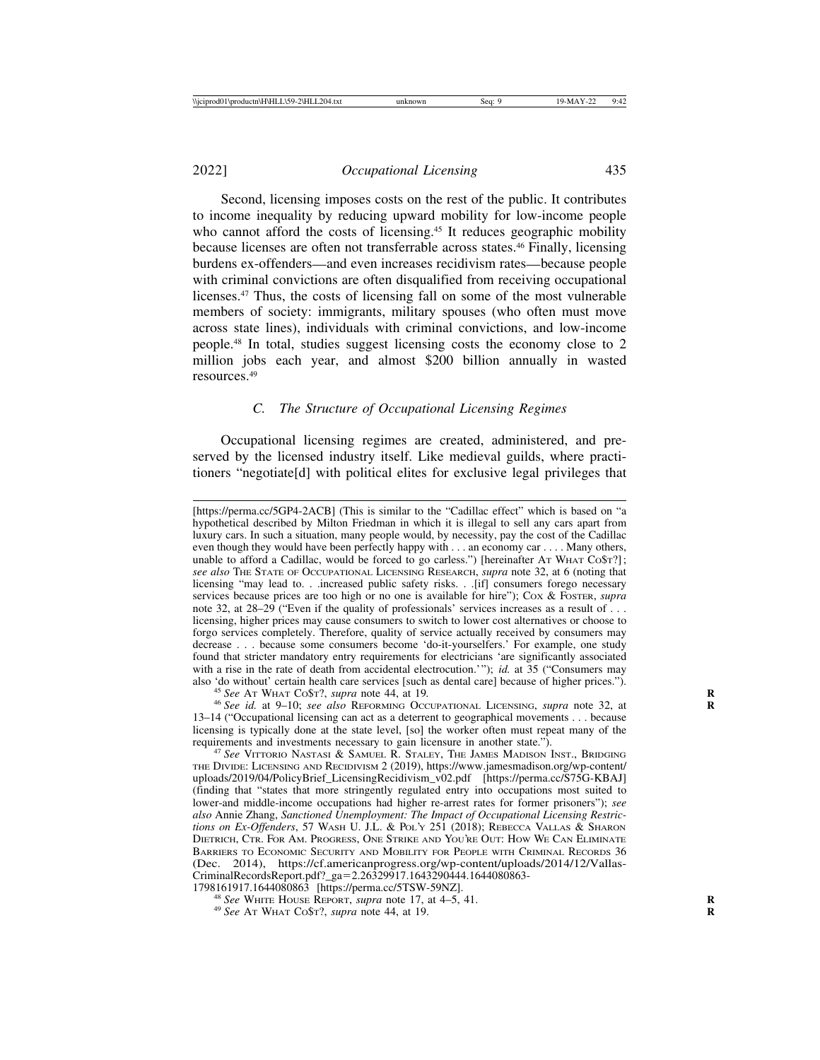2022] *Occupational Licensing* 435

Second, licensing imposes costs on the rest of the public. It contributes to income inequality by reducing upward mobility for low-income people who cannot afford the costs of licensing.<sup>45</sup> It reduces geographic mobility because licenses are often not transferrable across states.<sup>46</sup> Finally, licensing burdens ex-offenders—and even increases recidivism rates—because people with criminal convictions are often disqualified from receiving occupational licenses.47 Thus, the costs of licensing fall on some of the most vulnerable members of society: immigrants, military spouses (who often must move across state lines), individuals with criminal convictions, and low-income people.48 In total, studies suggest licensing costs the economy close to 2 million jobs each year, and almost \$200 billion annually in wasted resources.49

## *C. The Structure of Occupational Licensing Regimes*

Occupational licensing regimes are created, administered, and preserved by the licensed industry itself. Like medieval guilds, where practitioners "negotiate[d] with political elites for exclusive legal privileges that

<sup>[</sup>https://perma.cc/5GP4-2ACB] (This is similar to the "Cadillac effect" which is based on "a hypothetical described by Milton Friedman in which it is illegal to sell any cars apart from luxury cars. In such a situation, many people would, by necessity, pay the cost of the Cadillac even though they would have been perfectly happy with . . . an economy car . . . . Many others, unable to afford a Cadillac, would be forced to go carless.") [hereinafter AT WHAT CO\$T?]; *see also* THE STATE OF OCCUPATIONAL LICENSING RESEARCH, *supra* note 32, at 6 (noting that licensing "may lead to. . .increased public safety risks. . .[if] consumers forego necessary services because prices are too high or no one is available for hire"); COX & FOSTER, *supra* note 32, at 28–29 ("Even if the quality of professionals' services increases as a result of ... licensing, higher prices may cause consumers to switch to lower cost alternatives or choose to forgo services completely. Therefore, quality of service actually received by consumers may decrease . . . because some consumers become 'do-it-yourselfers.' For example, one study found that stricter mandatory entry requirements for electricians 'are significantly associated with a rise in the rate of death from accidental electrocution.'"); *id.* at 35 ("Consumers may also 'do without' certain health care services [such as dental care] because of higher prices.").

<sup>&</sup>lt;sup>45</sup> See AT WHAT Co\$T?, supra note 44, at 19.<br><sup>46</sup> See id. at 9–10; see also REFORMING OCCUPATIONAL LICENSING, supra note 32, at 13–14 ("Occupational licensing can act as a deterrent to geographical movements . . . because licensing is typically done at the state level, [so] the worker often must repeat many of the requirements and investments necessary to gain licensure in another state.").

<sup>&</sup>lt;sup>47</sup> See VITTORIO NASTASI & SAMUEL R. STALEY, THE JAMES MADISON INST., BRIDGING THE DIVIDE: LICENSING AND RECIDIVISM 2 (2019), https://www.jamesmadison.org/wp-content/ uploads/2019/04/PolicyBrief\_LicensingRecidivism\_v02.pdf [https://perma.cc/S75G-KBAJ] (finding that "states that more stringently regulated entry into occupations most suited to lower-and middle-income occupations had higher re-arrest rates for former prisoners"); *see also* Annie Zhang, *Sanctioned Unemployment: The Impact of Occupational Licensing Restrictions on Ex-Offenders*, 57 WASH U. J.L. & POL'Y 251 (2018); REBECCA VALLAS & SHARON DIETRICH, CTR. FOR AM. PROGRESS, ONE STRIKE AND YOU'RE OUT: HOW WE CAN ELIMINATE BARRIERS TO ECONOMIC SECURITY AND MOBILITY FOR PEOPLE WITH CRIMINAL RECORDS 36 (Dec. 2014), https://cf.americanprogress.org/wp-content/uploads/2014/12/Vallas-CriminalRecordsReport.pdf?\_ga=2.26329917.1643290444.1644080863-

<sup>1798161917.1644080863 [</sup>https://perma.cc/5TSW-59NZ]. <sup>48</sup> *See* WHITE HOUSE REPORT, *supra* note 17, at 4–5, 41. **<sup>R</sup>** <sup>49</sup> *See* AT WHAT CO\$T?, *supra* note 44, at 19. **<sup>R</sup>**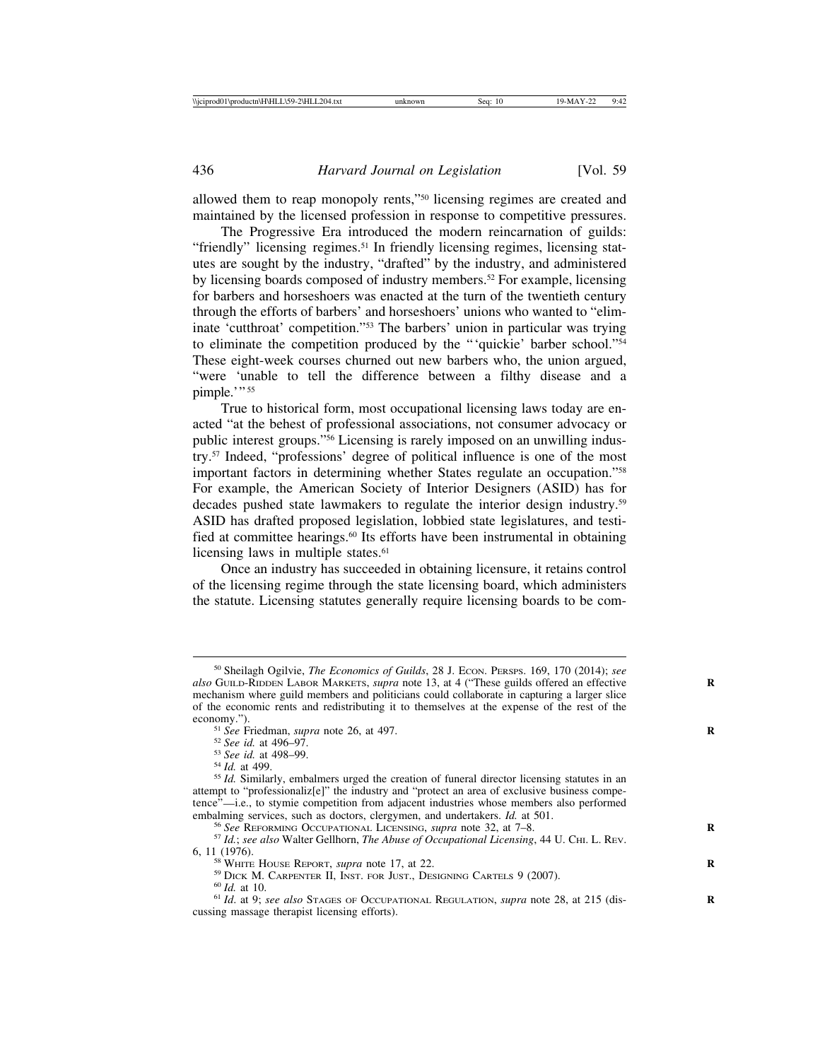allowed them to reap monopoly rents,"50 licensing regimes are created and maintained by the licensed profession in response to competitive pressures.

The Progressive Era introduced the modern reincarnation of guilds: "friendly" licensing regimes.<sup>51</sup> In friendly licensing regimes, licensing statutes are sought by the industry, "drafted" by the industry, and administered by licensing boards composed of industry members.52 For example, licensing for barbers and horseshoers was enacted at the turn of the twentieth century through the efforts of barbers' and horseshoers' unions who wanted to "eliminate 'cutthroat' competition."53 The barbers' union in particular was trying to eliminate the competition produced by the "'quickie' barber school."54 These eight-week courses churned out new barbers who, the union argued, "were 'unable to tell the difference between a filthy disease and a pimple."" 55

True to historical form, most occupational licensing laws today are enacted "at the behest of professional associations, not consumer advocacy or public interest groups."56 Licensing is rarely imposed on an unwilling industry.57 Indeed, "professions' degree of political influence is one of the most important factors in determining whether States regulate an occupation."58 For example, the American Society of Interior Designers (ASID) has for decades pushed state lawmakers to regulate the interior design industry.59 ASID has drafted proposed legislation, lobbied state legislatures, and testified at committee hearings.<sup>60</sup> Its efforts have been instrumental in obtaining licensing laws in multiple states.<sup>61</sup>

Once an industry has succeeded in obtaining licensure, it retains control of the licensing regime through the state licensing board, which administers the statute. Licensing statutes generally require licensing boards to be com-

<sup>50</sup> Sheilagh Ogilvie, *The Economics of Guilds*, 28 J. ECON. PERSPS. 169, 170 (2014); *see also* GUILD-RIDDEN LABOR MARKETS, *supra* note 13, at 4 ("These guilds offered an effective **R** mechanism where guild members and politicians could collaborate in capturing a larger slice of the economic rents and redistributing it to themselves at the expense of the rest of the economy.").<br><sup>51</sup> See Friedman, *supra* note 26, at 497.<br><sup>52</sup> See id. at 496–97.<br><sup>53</sup> See id. at 498–99.<br><sup>54</sup> Id. at 499.<br><sup>54</sup> Id. similarly, embalmers urged the creation of funeral director licensing statutes in an

attempt to "professionaliz[e]" the industry and "protect an area of exclusive business competence"—i.e., to stymie competition from adjacent industries whose members also performed embalming services, such as doctors, clergymen, and undertakers.  $Id$ . at 501.

<sup>&</sup>lt;sup>56</sup> See REFORMING OCCUPATIONAL LICENSING, *supra* note 32, at 7–8.<br><sup>57</sup> Id.; see also Walter Gellhorn, *The Abuse of Occupational Licensing*, 44 U. CHI. L. REV.<br>6, 11 (1976).

<sup>&</sup>lt;sup>58</sup> WHITE HOUSE REPORT, *supra* note 17, at 22.<br><sup>59</sup> DICK M. CARPENTER II, INST. FOR JUST., DESIGNING CARTELS 9 (2007).<br><sup>60</sup> Id. at 10.<br><sup>61</sup> Id. at 9; *see also* Stages of Occupational Regulation, *supra* note 28, at 215 cussing massage therapist licensing efforts).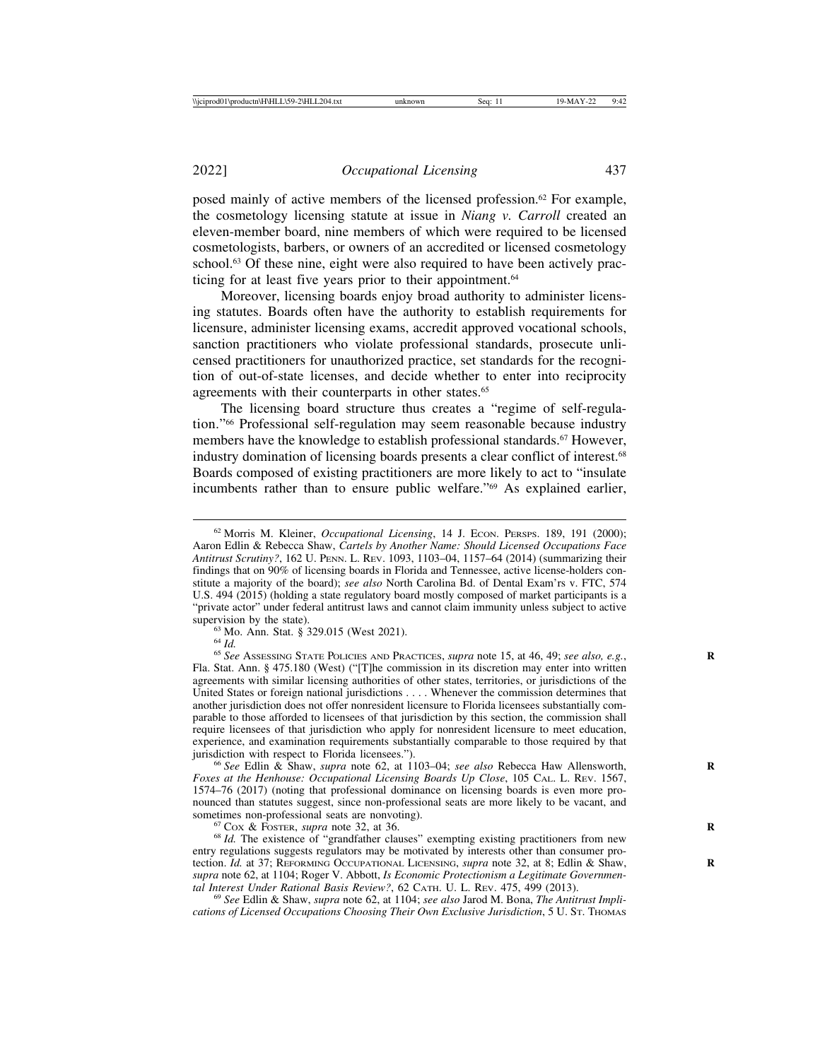posed mainly of active members of the licensed profession. $62$  For example, the cosmetology licensing statute at issue in *Niang v. Carroll* created an eleven-member board, nine members of which were required to be licensed cosmetologists, barbers, or owners of an accredited or licensed cosmetology school.<sup>63</sup> Of these nine, eight were also required to have been actively practicing for at least five years prior to their appointment.<sup>64</sup>

Moreover, licensing boards enjoy broad authority to administer licensing statutes. Boards often have the authority to establish requirements for licensure, administer licensing exams, accredit approved vocational schools, sanction practitioners who violate professional standards, prosecute unlicensed practitioners for unauthorized practice, set standards for the recognition of out-of-state licenses, and decide whether to enter into reciprocity agreements with their counterparts in other states.<sup>65</sup>

The licensing board structure thus creates a "regime of self-regulation."66 Professional self-regulation may seem reasonable because industry members have the knowledge to establish professional standards.<sup>67</sup> However, industry domination of licensing boards presents a clear conflict of interest.68 Boards composed of existing practitioners are more likely to act to "insulate incumbents rather than to ensure public welfare."69 As explained earlier,

<sup>63</sup> Mo. Ann. Stat. § 329.015 (West 2021).<br><sup>64</sup> *Id.* 65 *See* Assessing State Policies and Practices, *supra* note 15, at 46, 49; *see also, e.g.*, Fla. Stat. Ann. § 475.180 (West) ("[T]he commission in its discretion may enter into written agreements with similar licensing authorities of other states, territories, or jurisdictions of the United States or foreign national jurisdictions . . . . Whenever the commission determines that another jurisdiction does not offer nonresident licensure to Florida licensees substantially comparable to those afforded to licensees of that jurisdiction by this section, the commission shall require licensees of that jurisdiction who apply for nonresident licensure to meet education, experience, and examination requirements substantially comparable to those required by that jurisdiction with respect to Florida licensees.").

<sup>66</sup> See Edlin & Shaw, *supra* note 62, at 1103–04; *see also* Rebecca Haw Allensworth, *Foxes at the Henhouse: Occupational Licensing Boards Up Close*, 105 CAL. L. REV. 1567, 1574–76 (2017) (noting that professional dominance on licensing boards is even more pronounced than statutes suggest, since non-professional seats are more likely to be vacant, and sometimes non-professional seats are nonvoting).<br><sup>67</sup> Cox & Foster, *supra* note 32, at 36.<br><sup>68</sup> *Id.* The existence of "grandfather clauses" exempting existing practitioners from new

entry regulations suggests regulators may be motivated by interests other than consumer protection. *Id.* at 37; REFORMING OCCUPATIONAL LICENSING, *supra* note 32, at 8; Edlin & Shaw, *supra* note 62, at 1104; Roger V. Abbott, *Is Economic Protectionism a Legitimate Governmental Interest Under Rational Basis Review?*, 62 CATH. U. L. REV. 475, 499 (2013). <sup>69</sup> *See* Edlin & Shaw, *supra* note 62, at 1104; *see also* Jarod M. Bona, *The Antitrust Impli-*

*cations of Licensed Occupations Choosing Their Own Exclusive Jurisdiction*, 5 U. ST. THOMAS

<sup>62</sup> Morris M. Kleiner, *Occupational Licensing*, 14 J. ECON. PERSPS. 189, 191 (2000); Aaron Edlin & Rebecca Shaw, *Cartels by Another Name: Should Licensed Occupations Face Antitrust Scrutiny?*, 162 U. PENN. L. REV. 1093, 1103–04, 1157–64 (2014) (summarizing their findings that on 90% of licensing boards in Florida and Tennessee, active license-holders constitute a majority of the board); *see also* North Carolina Bd. of Dental Exam'rs v. FTC, 574 U.S. 494 (2015) (holding a state regulatory board mostly composed of market participants is a "private actor" under federal antitrust laws and cannot claim immunity unless subject to active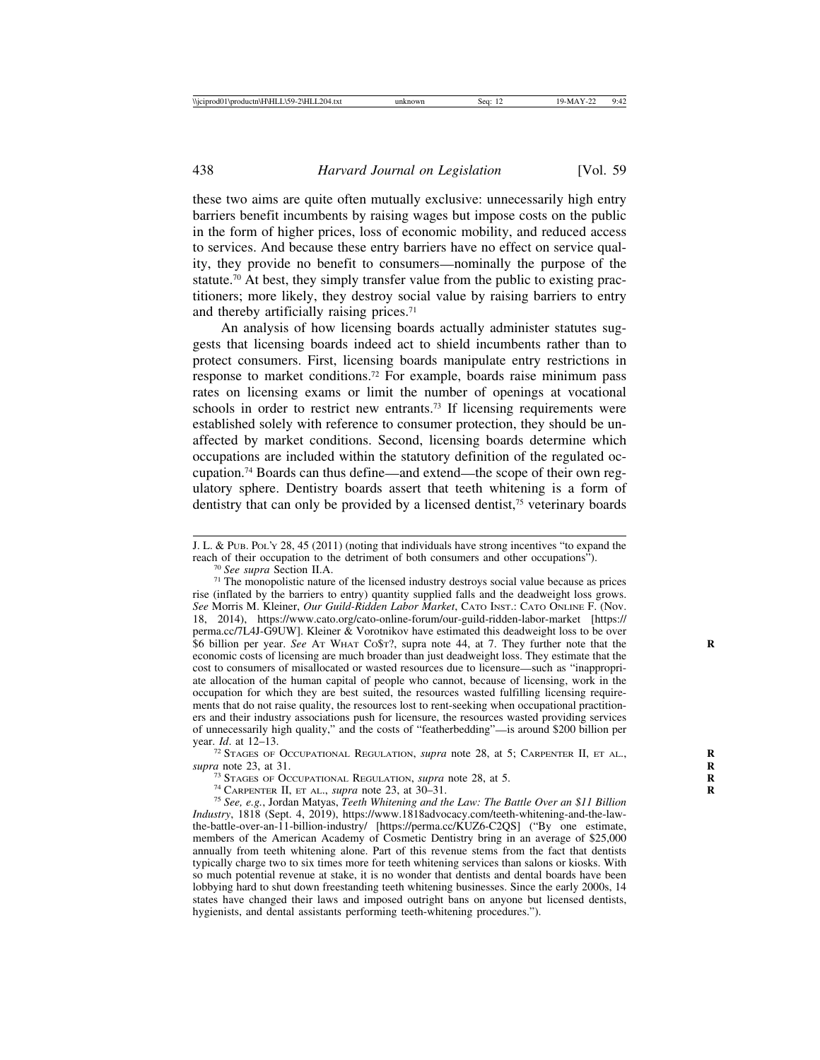these two aims are quite often mutually exclusive: unnecessarily high entry barriers benefit incumbents by raising wages but impose costs on the public in the form of higher prices, loss of economic mobility, and reduced access to services. And because these entry barriers have no effect on service quality, they provide no benefit to consumers—nominally the purpose of the statute.<sup>70</sup> At best, they simply transfer value from the public to existing practitioners; more likely, they destroy social value by raising barriers to entry and thereby artificially raising prices.71

An analysis of how licensing boards actually administer statutes suggests that licensing boards indeed act to shield incumbents rather than to protect consumers. First, licensing boards manipulate entry restrictions in response to market conditions.72 For example, boards raise minimum pass rates on licensing exams or limit the number of openings at vocational schools in order to restrict new entrants.<sup>73</sup> If licensing requirements were established solely with reference to consumer protection, they should be unaffected by market conditions. Second, licensing boards determine which occupations are included within the statutory definition of the regulated occupation.74 Boards can thus define—and extend—the scope of their own regulatory sphere. Dentistry boards assert that teeth whitening is a form of dentistry that can only be provided by a licensed dentist,<sup>75</sup> veterinary boards

<sup>72</sup> STAGES OF OCCUPATIONAL REGULATION, *supra* note 28, at 5; CARPENTER II, ET AL., *supra* note 23, at 31.

J. L. & PUB. POL'Y 28, 45 (2011) (noting that individuals have strong incentives "to expand the reach of their occupation to the detriment of both consumers and other occupations").

<sup>&</sup>lt;sup>70</sup> *See supra* Section II.A. *T*<sup>1</sup> The monopolistic nature of the licensed industry destroys social value because as prices rise (inflated by the barriers to entry) quantity supplied falls and the deadweight loss grows. *See* Morris M. Kleiner, *Our Guild-Ridden Labor Market*, CATO INST.: CATO ONLINE F. (Nov. 18, 2014), https://www.cato.org/cato-online-forum/our-guild-ridden-labor-market [https:// perma.cc/7L4J-G9UW]. Kleiner & Vorotnikov have estimated this deadweight loss to be over \$6 billion per year. *See* AT WHAT CO\$T?, supra note 44, at 7. They further note that the **R** economic costs of licensing are much broader than just deadweight loss. They estimate that the cost to consumers of misallocated or wasted resources due to licensure—such as "inappropriate allocation of the human capital of people who cannot, because of licensing, work in the occupation for which they are best suited, the resources wasted fulfilling licensing requirements that do not raise quality, the resources lost to rent-seeking when occupational practitioners and their industry associations push for licensure, the resources wasted providing services of unnecessarily high quality," and the costs of "featherbedding"—is around \$200 billion per year.  $Id$ . at 12–13.

<sup>&</sup>lt;sup>73</sup> STAGES OF OCCUPATIONAL REGULATION, *supra* note 28, at 5.<br><sup>74</sup> CARPENTER II, ET AL., *supra* note 23, at 30–31.<br><sup>75</sup> See, e.g., Jordan Matyas, *Teeth Whitening and the Law: The Battle Over an \$11 Billion Industry*, 1818 (Sept. 4, 2019), https://www.1818advocacy.com/teeth-whitening-and-the-lawthe-battle-over-an-11-billion-industry/ [https://perma.cc/KUZ6-C2QS] ("By one estimate, members of the American Academy of Cosmetic Dentistry bring in an average of \$25,000 annually from teeth whitening alone. Part of this revenue stems from the fact that dentists typically charge two to six times more for teeth whitening services than salons or kiosks. With so much potential revenue at stake, it is no wonder that dentists and dental boards have been lobbying hard to shut down freestanding teeth whitening businesses. Since the early 2000s, 14 states have changed their laws and imposed outright bans on anyone but licensed dentists, hygienists, and dental assistants performing teeth-whitening procedures.").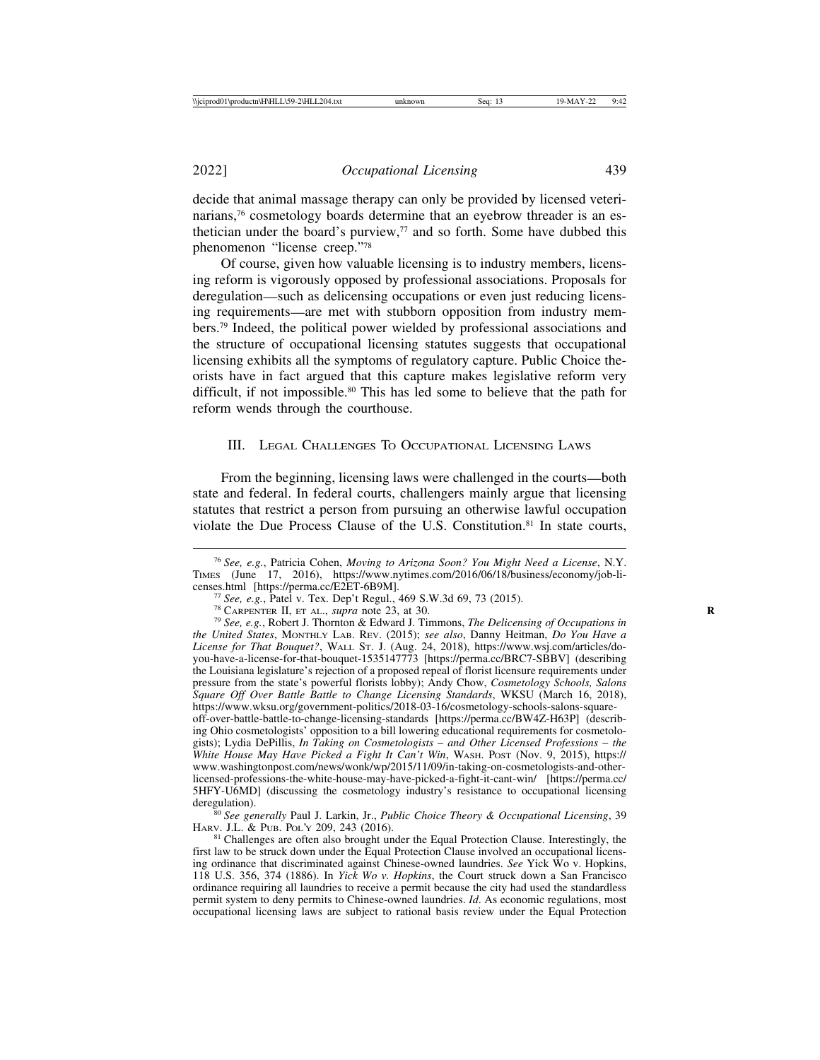decide that animal massage therapy can only be provided by licensed veterinarians,<sup>76</sup> cosmetology boards determine that an eyebrow threader is an esthetician under the board's purview, $\frac{7}{7}$  and so forth. Some have dubbed this phenomenon "license creep."78

Of course, given how valuable licensing is to industry members, licensing reform is vigorously opposed by professional associations. Proposals for deregulation—such as delicensing occupations or even just reducing licensing requirements—are met with stubborn opposition from industry members.79 Indeed, the political power wielded by professional associations and the structure of occupational licensing statutes suggests that occupational licensing exhibits all the symptoms of regulatory capture. Public Choice theorists have in fact argued that this capture makes legislative reform very difficult, if not impossible.80 This has led some to believe that the path for reform wends through the courthouse.

## III. LEGAL CHALLENGES TO OCCUPATIONAL LICENSING LAWS

From the beginning, licensing laws were challenged in the courts—both state and federal. In federal courts, challengers mainly argue that licensing statutes that restrict a person from pursuing an otherwise lawful occupation violate the Due Process Clause of the U.S. Constitution.<sup>81</sup> In state courts,

<sup>76</sup> *See, e.g.*, Patricia Cohen, *Moving to Arizona Soon? You Might Need a License*, N.Y. TIMES (June 17, 2016), https://www.nytimes.com/2016/06/18/business/economy/job-li-

<sup>&</sup>lt;sup>77</sup> See, e.g., Patel v. Tex. Dep't Regul., 469 S.W.3d 69, 73 (2015).<br><sup>78</sup> CARPENTER II, ET AL., *supra* note 23, at 30.<br><sup>79</sup> See, e.g., Robert J. Thornton & Edward J. Timmons, *The Delicensing of Occupations in* 

*the United States*, MONTHLY LAB. REV. (2015); *see also*, Danny Heitman, *Do You Have a License for That Bouquet?*, WALL ST. J. (Aug. 24, 2018), https://www.wsj.com/articles/doyou-have-a-license-for-that-bouquet-1535147773 [https://perma.cc/BRC7-SBBV] (describing the Louisiana legislature's rejection of a proposed repeal of florist licensure requirements under pressure from the state's powerful florists lobby); Andy Chow, *Cosmetology Schools, Salons Square Off Over Battle Battle to Change Licensing Standards*, WKSU (March 16, 2018), https://www.wksu.org/government-politics/2018-03-16/cosmetology-schools-salons-squareoff-over-battle-battle-to-change-licensing-standards [https://perma.cc/BW4Z-H63P] (describing Ohio cosmetologists' opposition to a bill lowering educational requirements for cosmetologists); Lydia DePillis, *In Taking on Cosmetologists* – *and Other Licensed Professions* – *the White House May Have Picked a Fight It Can't Win*, WASH. POST (Nov. 9, 2015), https:// www.washingtonpost.com/news/wonk/wp/2015/11/09/in-taking-on-cosmetologists-and-otherlicensed-professions-the-white-house-may-have-picked-a-fight-it-cant-win/ [https://perma.cc/ 5HFY-U6MD] (discussing the cosmetology industry's resistance to occupational licensing

deregulation).<br><sup>80</sup> *See generally* Paul J. Larkin, Jr., *Public Choice Theory & Occupational Licensing*, 39<br>HARV. J.L. & PUB. POL'Y 209, 243 (2016).

 $81$  Challenges are often also brought under the Equal Protection Clause. Interestingly, the first law to be struck down under the Equal Protection Clause involved an occupational licensing ordinance that discriminated against Chinese-owned laundries. *See* Yick Wo v. Hopkins, 118 U.S. 356, 374 (1886). In *Yick Wo v. Hopkins*, the Court struck down a San Francisco ordinance requiring all laundries to receive a permit because the city had used the standardless permit system to deny permits to Chinese-owned laundries. *Id*. As economic regulations, most occupational licensing laws are subject to rational basis review under the Equal Protection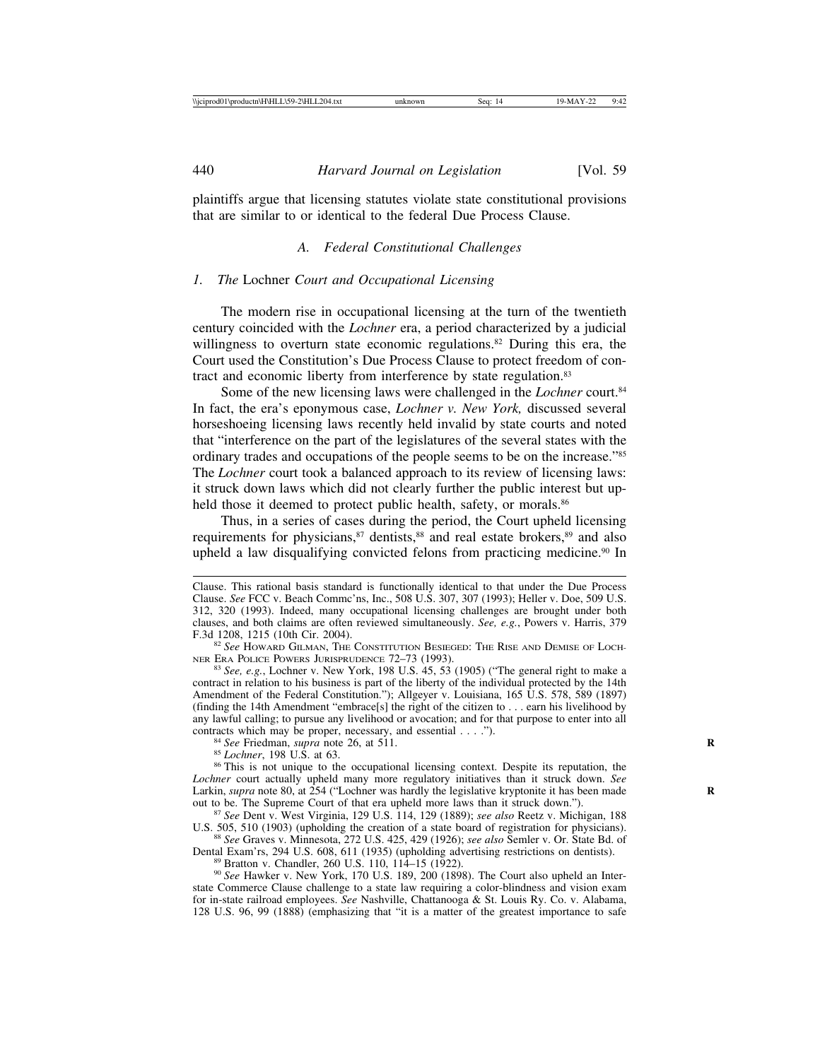plaintiffs argue that licensing statutes violate state constitutional provisions that are similar to or identical to the federal Due Process Clause.

#### *A. Federal Constitutional Challenges*

#### *1. The* Lochner *Court and Occupational Licensing*

The modern rise in occupational licensing at the turn of the twentieth century coincided with the *Lochner* era, a period characterized by a judicial willingness to overturn state economic regulations.<sup>82</sup> During this era, the Court used the Constitution's Due Process Clause to protect freedom of contract and economic liberty from interference by state regulation.83

Some of the new licensing laws were challenged in the *Lochner* court.<sup>84</sup> In fact, the era's eponymous case, *Lochner v. New York,* discussed several horseshoeing licensing laws recently held invalid by state courts and noted that "interference on the part of the legislatures of the several states with the ordinary trades and occupations of the people seems to be on the increase."85 The *Lochner* court took a balanced approach to its review of licensing laws: it struck down laws which did not clearly further the public interest but upheld those it deemed to protect public health, safety, or morals.<sup>86</sup>

Thus, in a series of cases during the period, the Court upheld licensing requirements for physicians, $87$  dentists, $88$  and real estate brokers, $89$  and also upheld a law disqualifying convicted felons from practicing medicine.<sup>90</sup> In

<sup>83</sup> See, e.g., Lochner v. New York, 198 U.S. 45, 53 (1905) ("The general right to make a contract in relation to his business is part of the liberty of the individual protected by the 14th Amendment of the Federal Constitution."); Allgeyer v. Louisiana, 165 U.S. 578, 589 (1897) (finding the 14th Amendment "embrace[s] the right of the citizen to . . . earn his livelihood by any lawful calling; to pursue any livelihood or avocation; and for that purpose to enter into all contracts which may be proper, necessary, and essential  $\dots$ .").

<sup>84</sup> See Friedman, *supra* note 26, at 511.<br><sup>85</sup> Lochner, 198 U.S. at 63.<br><sup>86</sup> This is not unique to the occupational licensing context. Despite its reputation, the *Lochner* court actually upheld many more regulatory initiatives than it struck down. *See* Larkin, *supra* note 80, at 254 ("Lochner was hardly the legislative kryptonite it has been made out to be. The Supreme Court of that era upheld more laws than it struck down.").

<sup>87</sup> See Dent v. West Virginia, 129 U.S. 114, 129 (1889); *see also* Reetz v. Michigan, 188 U.S. 505, 510 (1903) (upholding the creation of a state board of registration for physicians).

<sup>88</sup> See Graves v. Minnesota, 272 U.S. 425, 429 (1926); *see also* Semler v. Or. State Bd. of Dental Exam'rs, 294 U.S. 608, 611 (1935) (upholding advertising restrictions on dentists).

<sup>89</sup> Bratton v. Chandler, 260 U.S. 110, 114–15 (1922).<br><sup>90</sup> See Hawker v. New York, 170 U.S. 189, 200 (1898). The Court also upheld an Interstate Commerce Clause challenge to a state law requiring a color-blindness and vision exam for in-state railroad employees. *See* Nashville, Chattanooga & St. Louis Ry. Co. v. Alabama, 128 U.S. 96, 99 (1888) (emphasizing that "it is a matter of the greatest importance to safe

Clause. This rational basis standard is functionally identical to that under the Due Process Clause. *See* FCC v. Beach Commc'ns, Inc., 508 U.S. 307, 307 (1993); Heller v. Doe, 509 U.S. 312, 320 (1993). Indeed, many occupational licensing challenges are brought under both clauses, and both claims are often reviewed simultaneously. *See, e.g.*, Powers v. Harris, 379

F.3d 1208, 1215 (10th Cir. 2004).<br><sup>82</sup> *See* Howard Gilman, The Constitution Besieged: The Rise and Demise of Loch-<br>Ner Era Police Powers Jurisprudence 72–73 (1993).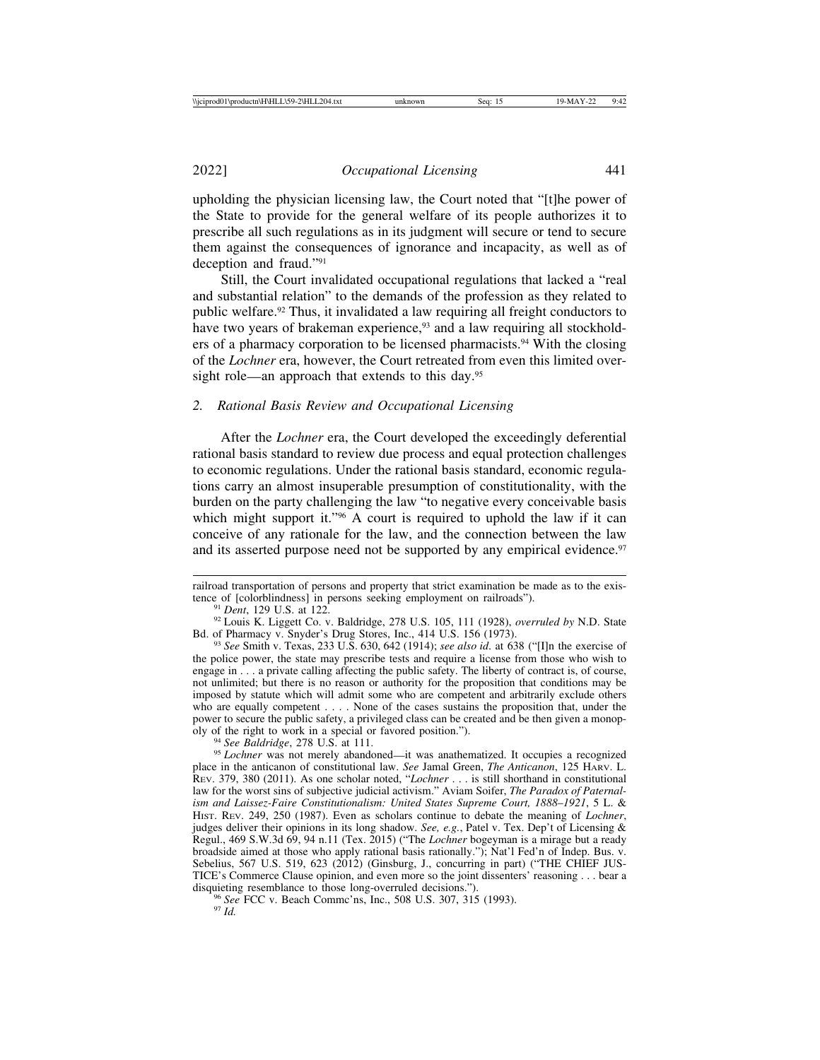upholding the physician licensing law, the Court noted that "[t]he power of the State to provide for the general welfare of its people authorizes it to prescribe all such regulations as in its judgment will secure or tend to secure them against the consequences of ignorance and incapacity, as well as of deception and fraud."91

Still, the Court invalidated occupational regulations that lacked a "real and substantial relation" to the demands of the profession as they related to public welfare.92 Thus, it invalidated a law requiring all freight conductors to have two years of brakeman experience,<sup>93</sup> and a law requiring all stockholders of a pharmacy corporation to be licensed pharmacists.<sup>94</sup> With the closing of the *Lochner* era, however, the Court retreated from even this limited oversight role—an approach that extends to this day.<sup>95</sup>

## *2. Rational Basis Review and Occupational Licensing*

After the *Lochner* era, the Court developed the exceedingly deferential rational basis standard to review due process and equal protection challenges to economic regulations. Under the rational basis standard, economic regulations carry an almost insuperable presumption of constitutionality, with the burden on the party challenging the law "to negative every conceivable basis which might support it."<sup>96</sup> A court is required to uphold the law if it can conceive of any rationale for the law, and the connection between the law and its asserted purpose need not be supported by any empirical evidence.<sup>97</sup>

<sup>91</sup> *Dent*, 129 U.S. at 122. *Persons in Persons seeking employment on railroads in persons K. Liggett Co. v. Baldridge, 278 U.S. 105, 111 (1928), <i>overruled by* N.D. State Bd. of Pharmacy v. Snyder's Drug Stores, Inc., 4

<sup>93</sup> See Smith v. Texas, 233 U.S. 630, 642 (1914); *see also id*. at 638 ("[I]n the exercise of the police power, the state may prescribe tests and require a license from those who wish to engage in . . . a private calling affecting the public safety. The liberty of contract is, of course, not unlimited; but there is no reason or authority for the proposition that conditions may be imposed by statute which will admit some who are competent and arbitrarily exclude others who are equally competent . . . . None of the cases sustains the proposition that, under the power to secure the public safety, a privileged class can be created and be then given a monop-<br>oly of the right to work in a special or favored position.").

<sup>94</sup> See Baldridge, 278 U.S. at 111.<br><sup>95</sup> *Lochner* was not merely abandoned—it was anathematized. It occupies a recognized place in the anticanon of constitutional law. *See* Jamal Green, *The Anticanon*, 125 HARV. L. REV. 379, 380 (2011). As one scholar noted, "*Lochner* . . . is still shorthand in constitutional law for the worst sins of subjective judicial activism." Aviam Soifer, *The Paradox of Paternalism and Laissez-Faire Constitutionalism: United States Supreme Court, 1888*–*1921*, 5 L. & HIST. REV. 249, 250 (1987). Even as scholars continue to debate the meaning of *Lochner*, judges deliver their opinions in its long shadow. *See, e.g.*, Patel v. Tex. Dep't of Licensing & Regul., 469 S.W.3d 69, 94 n.11 (Tex. 2015) ("The *Lochner* bogeyman is a mirage but a ready broadside aimed at those who apply rational basis rationally."); Nat'l Fed'n of Indep. Bus. v. Sebelius, 567 U.S. 519, 623 (2012) (Ginsburg, J., concurring in part) ("THE CHIEF JUS-TICE's Commerce Clause opinion, and even more so the joint dissenters' reasoning . . . bear a

disquieting resemblance to those long-overruled decisions.").<br><sup>96</sup> *See* FCC v. Beach Commc'ns, Inc., 508 U.S. 307, 315 (1993).<br><sup>97</sup> *Id.* 

railroad transportation of persons and property that strict examination be made as to the exis-<br>tence of [colorblindness] in persons seeking employment on railroads").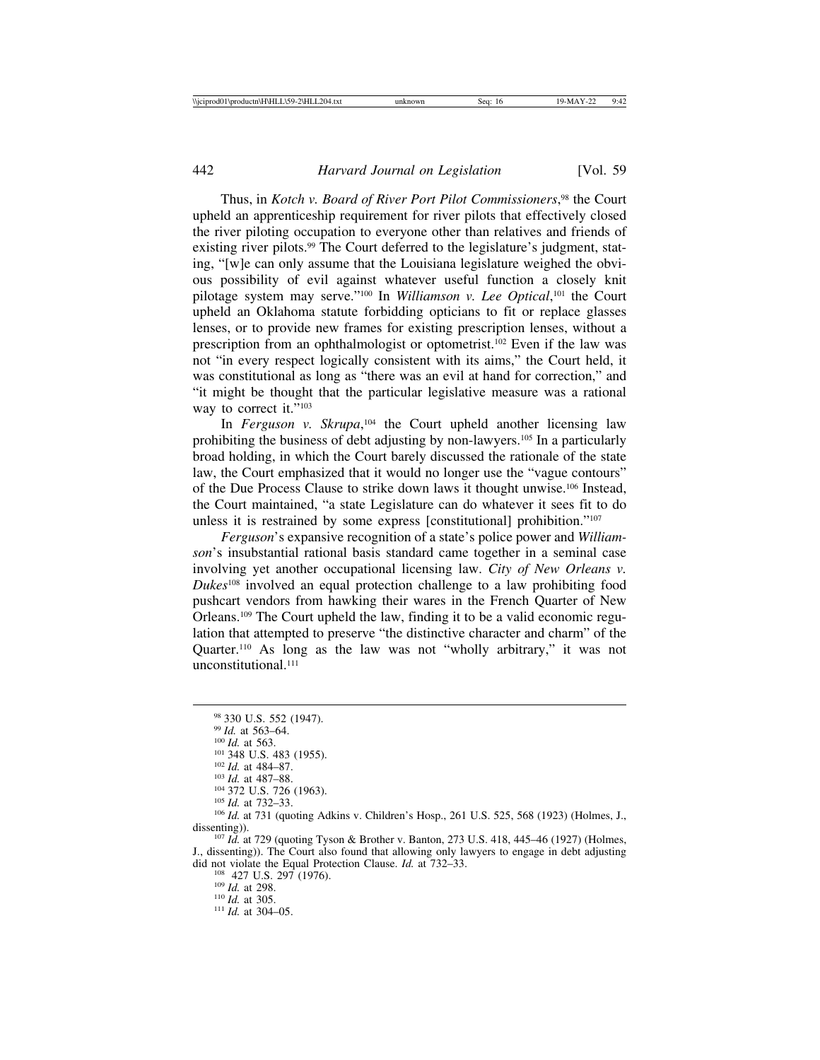Thus, in *Kotch v. Board of River Port Pilot Commissioners*, 98 the Court upheld an apprenticeship requirement for river pilots that effectively closed the river piloting occupation to everyone other than relatives and friends of existing river pilots.<sup>99</sup> The Court deferred to the legislature's judgment, stating, "[w]e can only assume that the Louisiana legislature weighed the obvious possibility of evil against whatever useful function a closely knit pilotage system may serve."100 In *Williamson v. Lee Optical*, 101 the Court upheld an Oklahoma statute forbidding opticians to fit or replace glasses lenses, or to provide new frames for existing prescription lenses, without a prescription from an ophthalmologist or optometrist.102 Even if the law was not "in every respect logically consistent with its aims," the Court held, it was constitutional as long as "there was an evil at hand for correction," and "it might be thought that the particular legislative measure was a rational way to correct it."<sup>103</sup>

In *Ferguson v. Skrupa*,<sup>104</sup> the Court upheld another licensing law prohibiting the business of debt adjusting by non-lawyers.105 In a particularly broad holding, in which the Court barely discussed the rationale of the state law, the Court emphasized that it would no longer use the "vague contours" of the Due Process Clause to strike down laws it thought unwise.106 Instead, the Court maintained, "a state Legislature can do whatever it sees fit to do unless it is restrained by some express [constitutional] prohibition."107

*Ferguson*'s expansive recognition of a state's police power and *Williamson*'s insubstantial rational basis standard came together in a seminal case involving yet another occupational licensing law. *City of New Orleans v. Dukes*108 involved an equal protection challenge to a law prohibiting food pushcart vendors from hawking their wares in the French Quarter of New Orleans.109 The Court upheld the law, finding it to be a valid economic regulation that attempted to preserve "the distinctive character and charm" of the Quarter.110 As long as the law was not "wholly arbitrary," it was not unconstitutional.<sup>111</sup>

J., dissenting)). The Court also found that allowing only lawyers to engage in debt adjusting did not violate the Equal Protection Clause. *Id.* at 732–33.<br><sup>108</sup> *Id.* at 298.<br><sup>110</sup> *Id.* at 305. <sup>111</sup> *Id.* at 304–05.

<sup>&</sup>lt;sup>98</sup> 330 U.S. 552 (1947).<br><sup>99</sup> *Id.* at 563–64.<br><sup>109</sup> *Id.* at 563.<br><sup>101</sup> 348 U.S. 483 (1955).<br><sup>103</sup> *Id.* at 484–87.<br><sup>103</sup> *Id.* at 487–88.<br><sup>104</sup> 372 U.S. 726 (1963).<br><sup>105</sup> *Id.* at 732–33.<br><sup>106</sup> *Id.* at 731 (quoting Ad dissenting)). <sup>107</sup> *Id.* at 729 (quoting Tyson & Brother v. Banton, 273 U.S. 418, 445–46 (1927) (Holmes,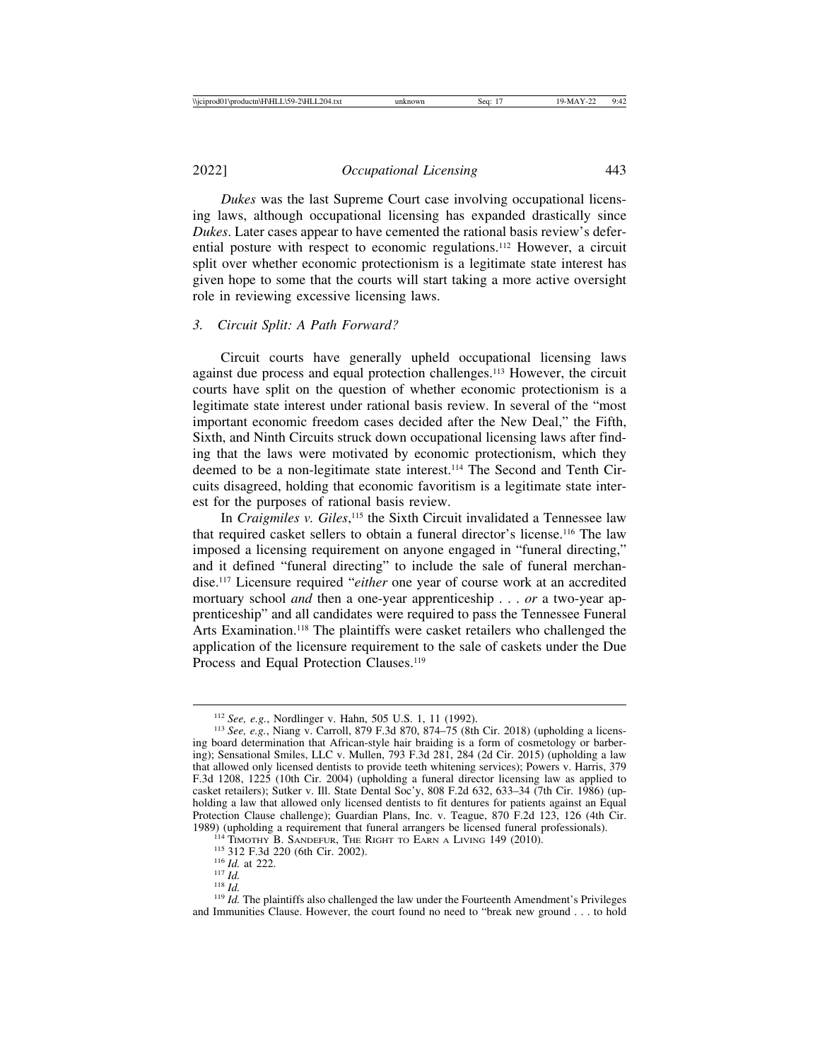2022] *Occupational Licensing* 443

*Dukes* was the last Supreme Court case involving occupational licensing laws, although occupational licensing has expanded drastically since *Dukes*. Later cases appear to have cemented the rational basis review's deferential posture with respect to economic regulations.112 However, a circuit split over whether economic protectionism is a legitimate state interest has given hope to some that the courts will start taking a more active oversight role in reviewing excessive licensing laws.

#### *3. Circuit Split: A Path Forward?*

Circuit courts have generally upheld occupational licensing laws against due process and equal protection challenges.113 However, the circuit courts have split on the question of whether economic protectionism is a legitimate state interest under rational basis review. In several of the "most important economic freedom cases decided after the New Deal," the Fifth, Sixth, and Ninth Circuits struck down occupational licensing laws after finding that the laws were motivated by economic protectionism, which they deemed to be a non-legitimate state interest.<sup>114</sup> The Second and Tenth Circuits disagreed, holding that economic favoritism is a legitimate state interest for the purposes of rational basis review.

In *Craigmiles v. Giles*, 115 the Sixth Circuit invalidated a Tennessee law that required casket sellers to obtain a funeral director's license.116 The law imposed a licensing requirement on anyone engaged in "funeral directing," and it defined "funeral directing" to include the sale of funeral merchandise.117 Licensure required "*either* one year of course work at an accredited mortuary school *and* then a one-year apprenticeship . . . *or* a two-year apprenticeship" and all candidates were required to pass the Tennessee Funeral Arts Examination.<sup>118</sup> The plaintiffs were casket retailers who challenged the application of the licensure requirement to the sale of caskets under the Due Process and Equal Protection Clauses.<sup>119</sup>

<sup>112</sup> *See, e.g.*, Nordlinger v. Hahn, 505 U.S. 1, 11 (1992). <sup>113</sup> *See, e.g.*, Niang v. Carroll, 879 F.3d 870, 874–75 (8th Cir. 2018) (upholding a licensing board determination that African-style hair braiding is a form of cosmetology or barbering); Sensational Smiles, LLC v. Mullen, 793 F.3d 281, 284 (2d Cir. 2015) (upholding a law that allowed only licensed dentists to provide teeth whitening services); Powers v. Harris, 379 F.3d 1208, 1225 (10th Cir. 2004) (upholding a funeral director licensing law as applied to casket retailers); Sutker v. Ill. State Dental Soc'y, 808 F.2d 632, 633–34 (7th Cir. 1986) (upholding a law that allowed only licensed dentists to fit dentures for patients against an Equal Protection Clause challenge); Guardian Plans, Inc. v. Teague, 870 F.2d 123, 126 (4th Cir. 1989) (upholding a requirement that funeral arrangers be licensed funeral professionals).

<sup>&</sup>lt;sup>114</sup> TIMOTHY B. SANDEFUR, THE RIGHT TO EARN A LIVING 149 (2010).<br><sup>115</sup> 312 F.3d 220 (6th Cir. 2002).<br><sup>116</sup> *Id.* at 222.<br><sup>117</sup> *Id.*<br><sup>118</sup> *Id.* The plaintiffs also challenged the law under the Fourteenth Amendment's Pri and Immunities Clause. However, the court found no need to "break new ground . . . to hold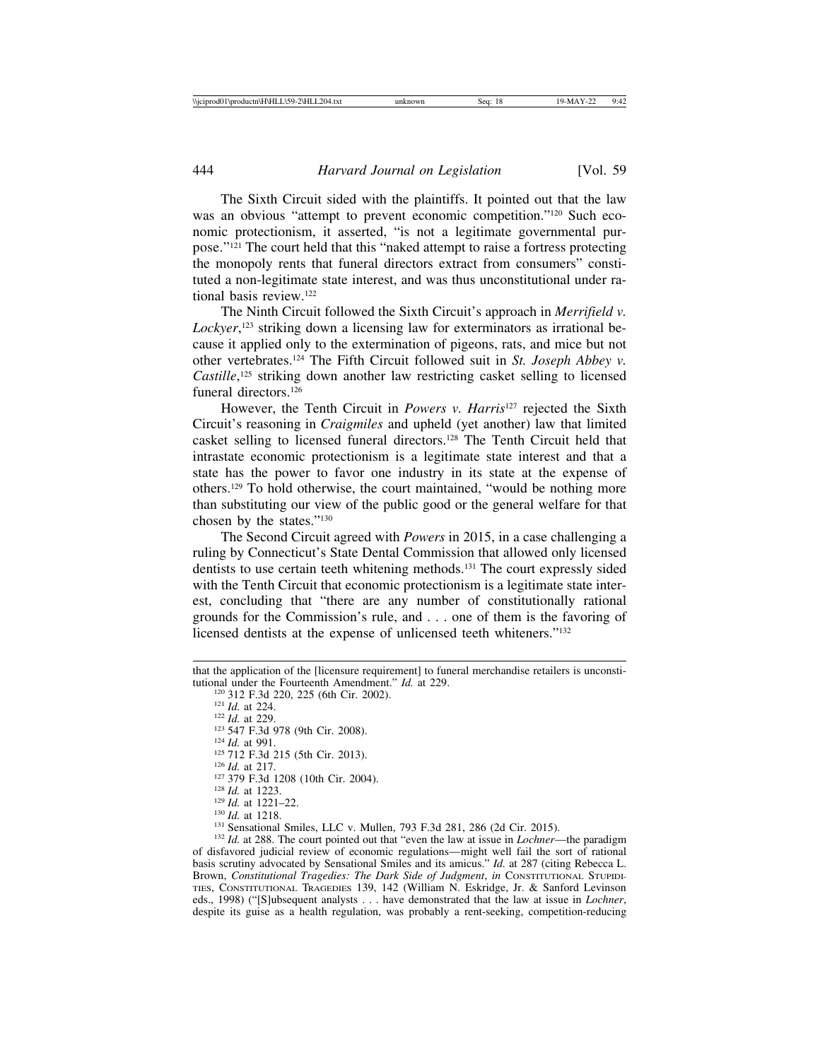The Sixth Circuit sided with the plaintiffs. It pointed out that the law was an obvious "attempt to prevent economic competition."<sup>120</sup> Such economic protectionism, it asserted, "is not a legitimate governmental purpose."121 The court held that this "naked attempt to raise a fortress protecting the monopoly rents that funeral directors extract from consumers" constituted a non-legitimate state interest, and was thus unconstitutional under rational basis review.122

The Ninth Circuit followed the Sixth Circuit's approach in *Merrifield v. Lockyer*, 123 striking down a licensing law for exterminators as irrational because it applied only to the extermination of pigeons, rats, and mice but not other vertebrates.124 The Fifth Circuit followed suit in *St. Joseph Abbey v. Castille*, 125 striking down another law restricting casket selling to licensed funeral directors.126

However, the Tenth Circuit in *Powers v. Harris*127 rejected the Sixth Circuit's reasoning in *Craigmiles* and upheld (yet another) law that limited casket selling to licensed funeral directors.128 The Tenth Circuit held that intrastate economic protectionism is a legitimate state interest and that a state has the power to favor one industry in its state at the expense of others.129 To hold otherwise, the court maintained, "would be nothing more than substituting our view of the public good or the general welfare for that chosen by the states."130

The Second Circuit agreed with *Powers* in 2015, in a case challenging a ruling by Connecticut's State Dental Commission that allowed only licensed dentists to use certain teeth whitening methods.131 The court expressly sided with the Tenth Circuit that economic protectionism is a legitimate state interest, concluding that "there are any number of constitutionally rational grounds for the Commission's rule, and . . . one of them is the favoring of licensed dentists at the expense of unlicensed teeth whiteners."<sup>132</sup>

- 
- 
- 
- 
- 
- 
- 

that the application of the [licensure requirement] to funeral merchandise retailers is unconstitutional under the Fourteenth Amendment."  $Id$  at 229. tutional under the Fourteenth Amendment." *Id.* at 229.<br>
<sup>120</sup> 312 F.3d 220, 225 (6th Cir. 2002).<br>
<sup>121</sup> *Id.* at 224.<br>
<sup>122</sup> *Id.* at 229.<br>
<sup>123</sup> 547 F.3d 978 (9th Cir. 2008).<br>
<sup>124</sup> *Id.* at 991.<br>
<sup>125</sup> 712 F.3d 215 (5t

of disfavored judicial review of economic regulations—might well fail the sort of rational basis scrutiny advocated by Sensational Smiles and its amicus." *Id.* at 287 (citing Rebecca L. Brown, *Constitutional Tragedies: The Dark Side of Judgment*, *in* CONSTITUTIONAL STUPIDI-TIES, CONSTITUTIONAL TRAGEDIES 139, 142 (William N. Eskridge, Jr. & Sanford Levinson eds., 1998) ("[S]ubsequent analysts . . . have demonstrated that the law at issue in *Lochner*, despite its guise as a health regulation, was probably a rent-seeking, competition-reducing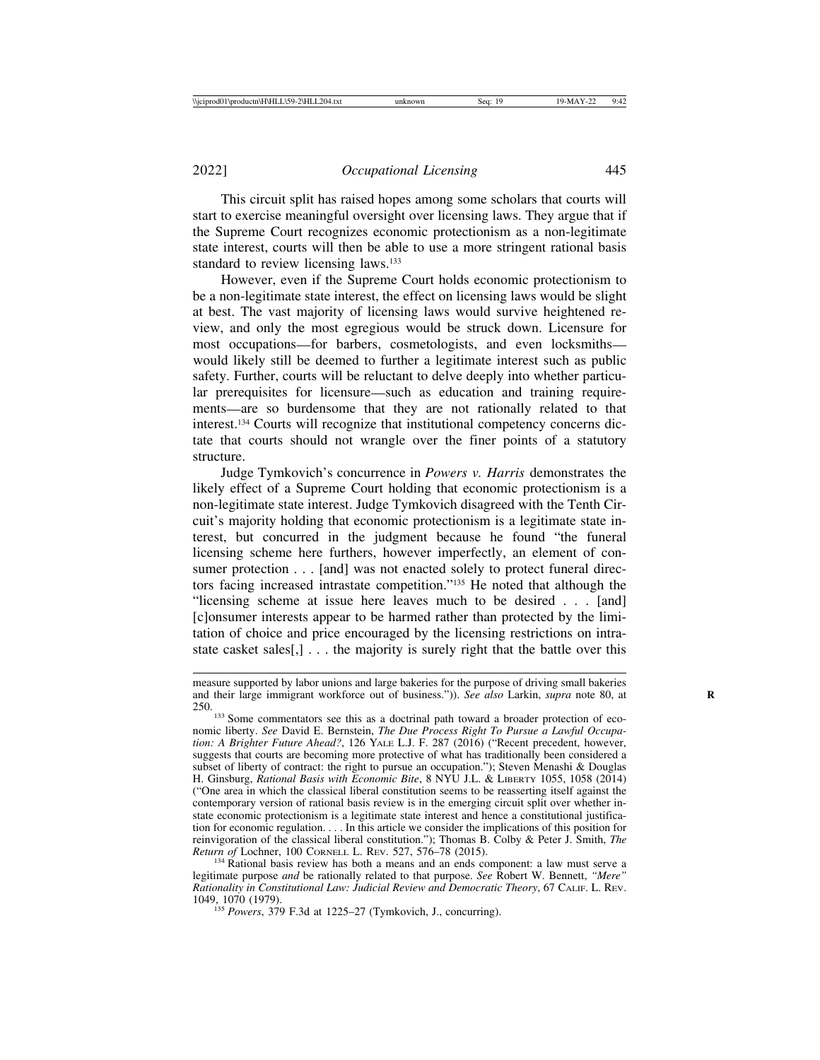This circuit split has raised hopes among some scholars that courts will start to exercise meaningful oversight over licensing laws. They argue that if the Supreme Court recognizes economic protectionism as a non-legitimate state interest, courts will then be able to use a more stringent rational basis standard to review licensing laws.<sup>133</sup>

However, even if the Supreme Court holds economic protectionism to be a non-legitimate state interest, the effect on licensing laws would be slight at best. The vast majority of licensing laws would survive heightened review, and only the most egregious would be struck down. Licensure for most occupations—for barbers, cosmetologists, and even locksmiths would likely still be deemed to further a legitimate interest such as public safety. Further, courts will be reluctant to delve deeply into whether particular prerequisites for licensure—such as education and training requirements—are so burdensome that they are not rationally related to that interest.134 Courts will recognize that institutional competency concerns dictate that courts should not wrangle over the finer points of a statutory structure.

Judge Tymkovich's concurrence in *Powers v. Harris* demonstrates the likely effect of a Supreme Court holding that economic protectionism is a non-legitimate state interest. Judge Tymkovich disagreed with the Tenth Circuit's majority holding that economic protectionism is a legitimate state interest, but concurred in the judgment because he found "the funeral licensing scheme here furthers, however imperfectly, an element of consumer protection . . . [and] was not enacted solely to protect funeral directors facing increased intrastate competition."135 He noted that although the "licensing scheme at issue here leaves much to be desired . . . [and] [c]onsumer interests appear to be harmed rather than protected by the limitation of choice and price encouraged by the licensing restrictions on intrastate casket sales[,] . . . the majority is surely right that the battle over this

<sup>134</sup> Rational basis review has both a means and an ends component: a law must serve a legitimate purpose *and* be rationally related to that purpose. *See* Robert W. Bennett, *"Mere" Rationality in Constitutional Law: Judicial Review and Democratic Theory*, 67 CALIF. L. REV. 1049, 1070 (1979). <sup>135</sup> *Powers*, 379 F.3d at 1225–27 (Tymkovich, J., concurring).

measure supported by labor unions and large bakeries for the purpose of driving small bakeries and their large immigrant workforce out of business.")). *See also* Larkin, *supra* note 80, at 250.

<sup>&</sup>lt;sup>133</sup> Some commentators see this as a doctrinal path toward a broader protection of economic liberty. *See* David E. Bernstein, *The Due Process Right To Pursue a Lawful Occupation: A Brighter Future Ahead?*, 126 YALE L.J. F. 287 (2016) ("Recent precedent, however, suggests that courts are becoming more protective of what has traditionally been considered a subset of liberty of contract: the right to pursue an occupation."); Steven Menashi & Douglas H. Ginsburg, *Rational Basis with Economic Bite*, 8 NYU J.L. & LIBERTY 1055, 1058 (2014) ("One area in which the classical liberal constitution seems to be reasserting itself against the contemporary version of rational basis review is in the emerging circuit split over whether instate economic protectionism is a legitimate state interest and hence a constitutional justification for economic regulation. . . . In this article we consider the implications of this position for reinvigoration of the classical liberal constitution."); Thomas B. Colby & Peter J. Smith, *The*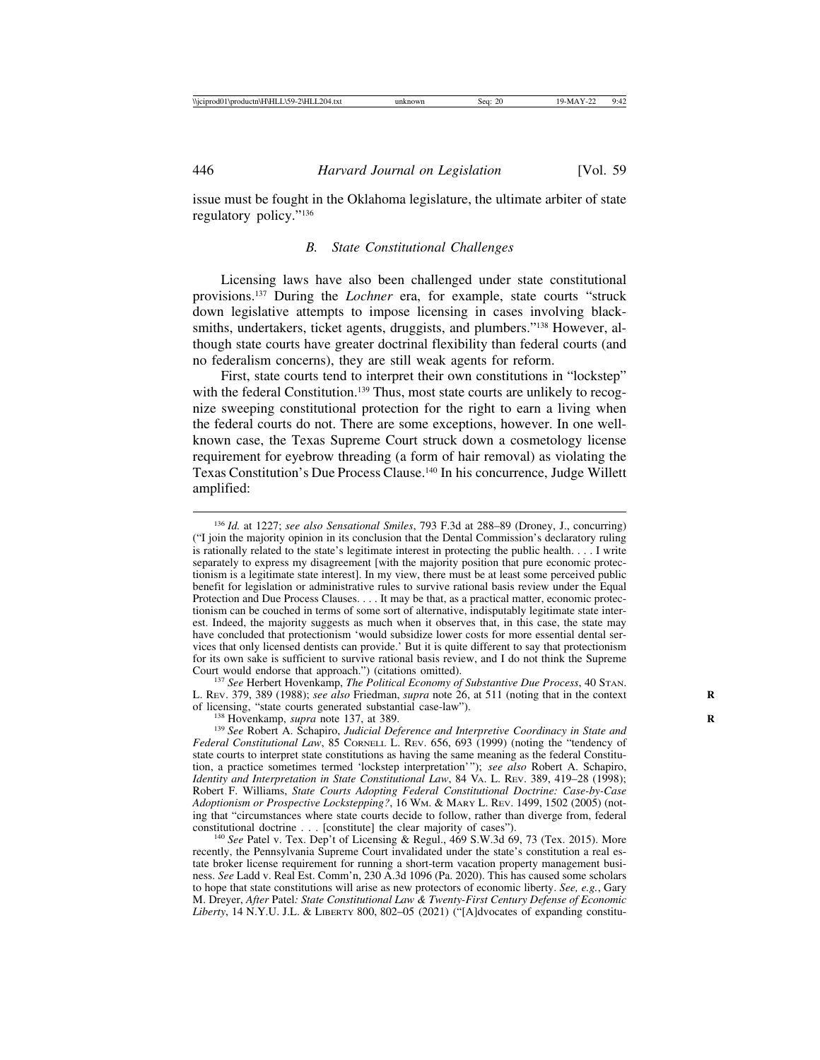issue must be fought in the Oklahoma legislature, the ultimate arbiter of state regulatory policy."136

#### *B. State Constitutional Challenges*

Licensing laws have also been challenged under state constitutional provisions.137 During the *Lochner* era, for example, state courts "struck down legislative attempts to impose licensing in cases involving blacksmiths, undertakers, ticket agents, druggists, and plumbers."<sup>138</sup> However, although state courts have greater doctrinal flexibility than federal courts (and no federalism concerns), they are still weak agents for reform.

First, state courts tend to interpret their own constitutions in "lockstep" with the federal Constitution.<sup>139</sup> Thus, most state courts are unlikely to recognize sweeping constitutional protection for the right to earn a living when the federal courts do not. There are some exceptions, however. In one wellknown case, the Texas Supreme Court struck down a cosmetology license requirement for eyebrow threading (a form of hair removal) as violating the Texas Constitution's Due Process Clause.140 In his concurrence, Judge Willett amplified:

<sup>136</sup> *Id.* at 1227; *see also Sensational Smiles*, 793 F.3d at 288–89 (Droney, J., concurring) ("I join the majority opinion in its conclusion that the Dental Commission's declaratory ruling is rationally related to the state's legitimate interest in protecting the public health. . . . I write separately to express my disagreement [with the majority position that pure economic protectionism is a legitimate state interest]. In my view, there must be at least some perceived public benefit for legislation or administrative rules to survive rational basis review under the Equal Protection and Due Process Clauses. . . . It may be that, as a practical matter, economic protectionism can be couched in terms of some sort of alternative, indisputably legitimate state interest. Indeed, the majority suggests as much when it observes that, in this case, the state may have concluded that protectionism 'would subsidize lower costs for more essential dental services that only licensed dentists can provide.' But it is quite different to say that protectionism for its own sake is sufficient to survive rational basis review, and I do not think the Supreme Court would endorse that approach.") (citations omitted).

<sup>&</sup>lt;sup>137</sup> See Herbert Hovenkamp, *The Political Economy of Substantive Due Process*, 40 STAN. L. Rev. 379, 389 (1988); *see also* Friedman, *supra* note 26, at 511 (noting that in the context of licensing, "state courts generated substantial case-law").

<sup>&</sup>lt;sup>138</sup> Hovenkamp, *supra* note 137, at 389.<br><sup>139</sup> *See* Robert A. Schapiro, *Judicial Deference and Interpretive Coordinacy in State and Federal Constitutional Law*, 85 CORNELL L. REV. 656, 693 (1999) (noting the "tendency of state courts to interpret state constitutions as having the same meaning as the federal Constitution, a practice sometimes termed 'lockstep interpretation'"); *see also* Robert A. Schapiro, *Identity and Interpretation in State Constitutional Law*, 84 VA. L. REV. 389, 419–28 (1998); Robert F. Williams, *State Courts Adopting Federal Constitutional Doctrine: Case-by-Case Adoptionism or Prospective Lockstepping?*, 16 WM. & MARY L. REV. 1499, 1502 (2005) (noting that "circumstances where state courts decide to follow, rather than diverge from, federal constitutional doctrine . . . [constitute] the clear majority of cases").

 $^{140}$  See Patel v. Tex. Dep't of Licensing & Regul., 469 S.W.3d 69, 73 (Tex. 2015). More recently, the Pennsylvania Supreme Court invalidated under the state's constitution a real estate broker license requirement for running a short-term vacation property management business. *See* Ladd v. Real Est. Comm'n, 230 A.3d 1096 (Pa. 2020). This has caused some scholars to hope that state constitutions will arise as new protectors of economic liberty. *See, e.g.*, Gary M. Dreyer, *After* Patel*: State Constitutional Law & Twenty-First Century Defense of Economic Liberty*, 14 N.Y.U. J.L. & LIBERTY 800, 802–05 (2021) ("[A]dvocates of expanding constitu-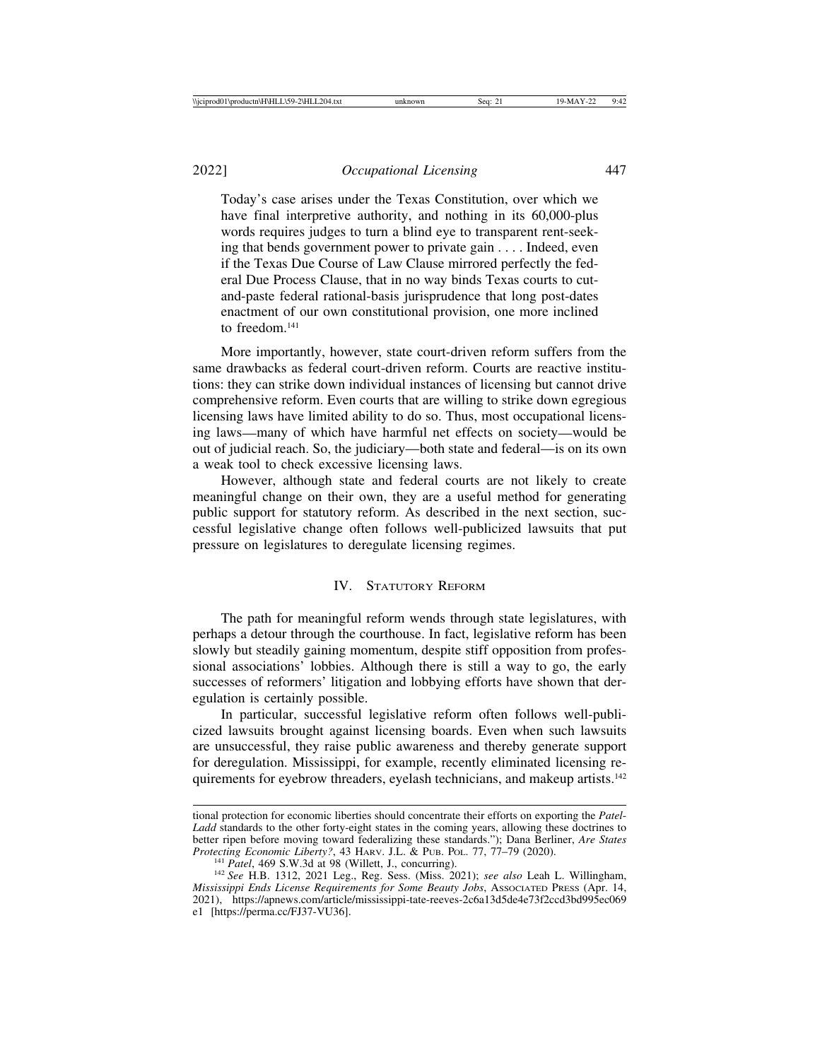2022] *Occupational Licensing* 447

Today's case arises under the Texas Constitution, over which we have final interpretive authority, and nothing in its 60,000-plus words requires judges to turn a blind eye to transparent rent-seeking that bends government power to private gain . . . . Indeed, even if the Texas Due Course of Law Clause mirrored perfectly the federal Due Process Clause, that in no way binds Texas courts to cutand-paste federal rational-basis jurisprudence that long post-dates enactment of our own constitutional provision, one more inclined to freedom<sup>141</sup>

More importantly, however, state court-driven reform suffers from the same drawbacks as federal court-driven reform. Courts are reactive institutions: they can strike down individual instances of licensing but cannot drive comprehensive reform. Even courts that are willing to strike down egregious licensing laws have limited ability to do so. Thus, most occupational licensing laws—many of which have harmful net effects on society—would be out of judicial reach. So, the judiciary—both state and federal—is on its own a weak tool to check excessive licensing laws.

However, although state and federal courts are not likely to create meaningful change on their own, they are a useful method for generating public support for statutory reform. As described in the next section, successful legislative change often follows well-publicized lawsuits that put pressure on legislatures to deregulate licensing regimes.

# IV. STATUTORY REFORM

The path for meaningful reform wends through state legislatures, with perhaps a detour through the courthouse. In fact, legislative reform has been slowly but steadily gaining momentum, despite stiff opposition from professional associations' lobbies. Although there is still a way to go, the early successes of reformers' litigation and lobbying efforts have shown that deregulation is certainly possible.

In particular, successful legislative reform often follows well-publicized lawsuits brought against licensing boards. Even when such lawsuits are unsuccessful, they raise public awareness and thereby generate support for deregulation. Mississippi, for example, recently eliminated licensing requirements for eyebrow threaders, eyelash technicians, and makeup artists.<sup>142</sup>

tional protection for economic liberties should concentrate their efforts on exporting the *Patel*-*Ladd* standards to the other forty-eight states in the coming years, allowing these doctrines to better ripen before moving toward federalizing these standards."); Dana Berliner, *Are States*

 $^{141}$  Patel, 469 S.W.3d at 98 (Willett, J., concurring).<br> $^{142}$  See H.B. 1312, 2021 Leg., Reg. Sess. (Miss. 2021); see also Leah L. Willingham, *Mississippi Ends License Requirements for Some Beauty Jobs*, ASSOCIATED PRESS (Apr. 14, 2021), https://apnews.com/article/mississippi-tate-reeves-2c6a13d5de4e73f2ccd3bd995ec069 e1 [https://perma.cc/FJ37-VU36].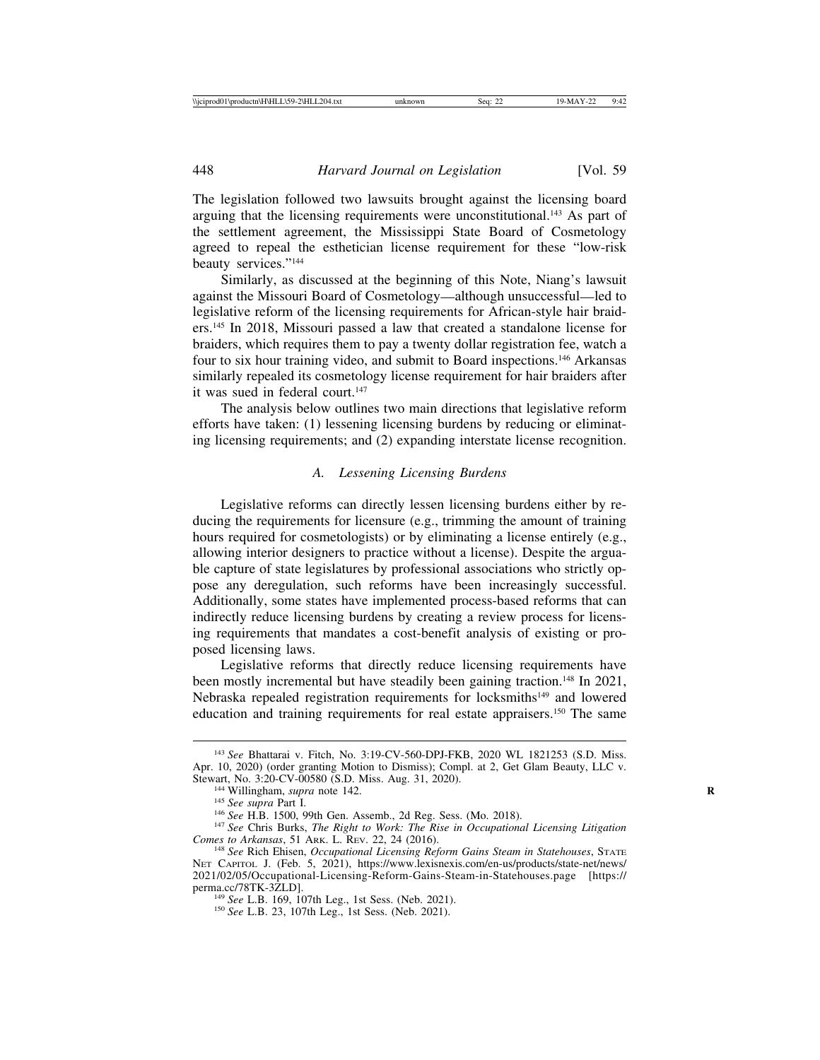The legislation followed two lawsuits brought against the licensing board arguing that the licensing requirements were unconstitutional.<sup>143</sup> As part of the settlement agreement, the Mississippi State Board of Cosmetology agreed to repeal the esthetician license requirement for these "low-risk beauty services."144

Similarly, as discussed at the beginning of this Note, Niang's lawsuit against the Missouri Board of Cosmetology—although unsuccessful—led to legislative reform of the licensing requirements for African-style hair braiders.145 In 2018, Missouri passed a law that created a standalone license for braiders, which requires them to pay a twenty dollar registration fee, watch a four to six hour training video, and submit to Board inspections.146 Arkansas similarly repealed its cosmetology license requirement for hair braiders after it was sued in federal court.<sup>147</sup>

The analysis below outlines two main directions that legislative reform efforts have taken: (1) lessening licensing burdens by reducing or eliminating licensing requirements; and (2) expanding interstate license recognition.

## *A. Lessening Licensing Burdens*

Legislative reforms can directly lessen licensing burdens either by reducing the requirements for licensure (e.g., trimming the amount of training hours required for cosmetologists) or by eliminating a license entirely (e.g., allowing interior designers to practice without a license). Despite the arguable capture of state legislatures by professional associations who strictly oppose any deregulation, such reforms have been increasingly successful. Additionally, some states have implemented process-based reforms that can indirectly reduce licensing burdens by creating a review process for licensing requirements that mandates a cost-benefit analysis of existing or proposed licensing laws.

Legislative reforms that directly reduce licensing requirements have been mostly incremental but have steadily been gaining traction.<sup>148</sup> In 2021, Nebraska repealed registration requirements for locksmiths<sup>149</sup> and lowered education and training requirements for real estate appraisers.150 The same

<sup>143</sup> *See* Bhattarai v. Fitch, No. 3:19-CV-560-DPJ-FKB, 2020 WL 1821253 (S.D. Miss. Apr. 10, 2020) (order granting Motion to Dismiss); Compl. at 2, Get Glam Beauty, LLC v. Stewart, No. 3:20-CV-00580 (S.D. Miss. Aug. 31, 2020).

<sup>&</sup>lt;sup>144</sup> Willingham, *supra* note 142.<br><sup>145</sup> See supra Part I.<br><sup>146</sup> See H.B. 1500, 99th Gen. Assemb., 2d Reg. Sess. (Mo. 2018).<br><sup>147</sup> See Chris Burks, *The Right to Work: The Rise in Occupational Licensing Litigation*<br>Comes

<sup>&</sup>lt;sup>148</sup> See Rich Ehisen, *Occupational Licensing Reform Gains Steam in Statehouses*, STATE NET CAPITOL J. (Feb. 5, 2021), https://www.lexisnexis.com/en-us/products/state-net/news/ 2021/02/05/Occupational-Licensing-Reform-Gains-Steam-in-Statehouses.page [https:// perma.cc/78TK-3ZLD]. <sup>149</sup> *See* L.B. 169, 107th Leg., 1st Sess. (Neb. 2021). <sup>150</sup> *See* L.B. 23, 107th Leg., 1st Sess. (Neb. 2021).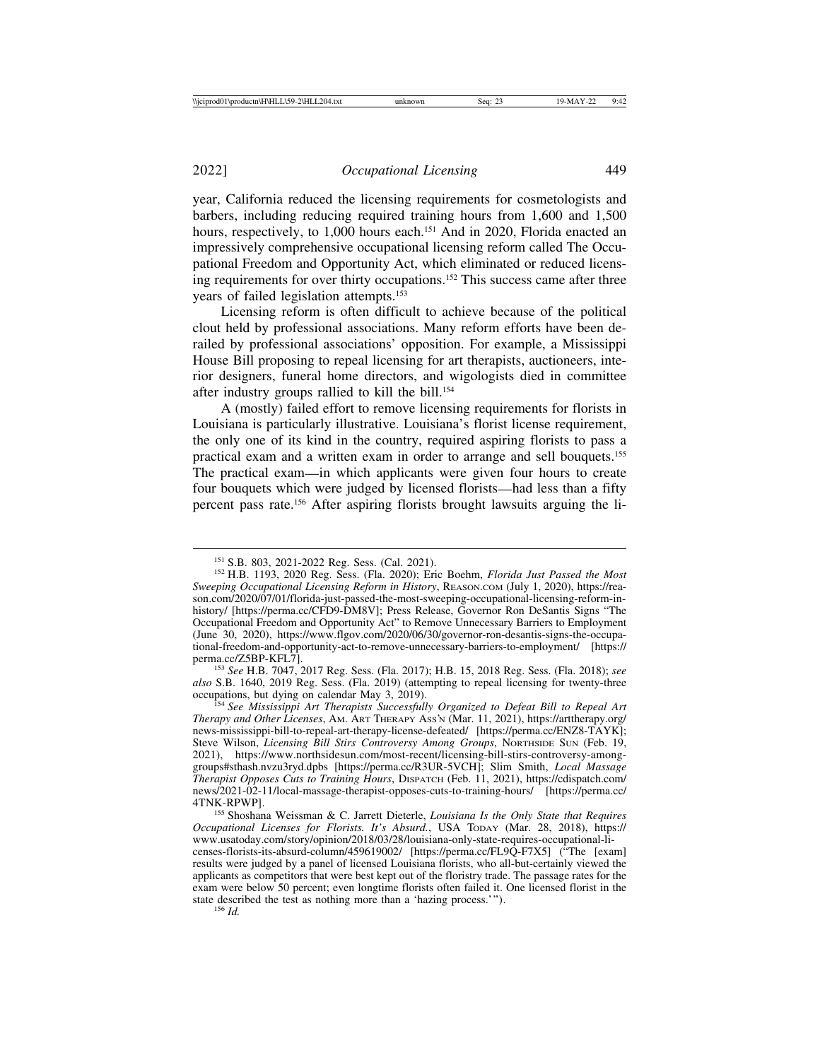year, California reduced the licensing requirements for cosmetologists and barbers, including reducing required training hours from 1,600 and 1,500 hours, respectively, to 1,000 hours each.<sup>151</sup> And in 2020, Florida enacted an impressively comprehensive occupational licensing reform called The Occupational Freedom and Opportunity Act, which eliminated or reduced licensing requirements for over thirty occupations.152 This success came after three years of failed legislation attempts.153

Licensing reform is often difficult to achieve because of the political clout held by professional associations. Many reform efforts have been derailed by professional associations' opposition. For example, a Mississippi House Bill proposing to repeal licensing for art therapists, auctioneers, interior designers, funeral home directors, and wigologists died in committee after industry groups rallied to kill the bill.154

A (mostly) failed effort to remove licensing requirements for florists in Louisiana is particularly illustrative. Louisiana's florist license requirement, the only one of its kind in the country, required aspiring florists to pass a practical exam and a written exam in order to arrange and sell bouquets.155 The practical exam—in which applicants were given four hours to create four bouquets which were judged by licensed florists—had less than a fifty percent pass rate.156 After aspiring florists brought lawsuits arguing the li-

*also* S.B. 1640, 2019 Reg. Sess. (Fla. 2019) (attempting to repeal licensing for twenty-three

<sup>151</sup> S.B. 803, 2021-2022 Reg. Sess. (Cal. 2021). <sup>152</sup> H.B. 1193, 2020 Reg. Sess. (Fla. 2020); Eric Boehm, *Florida Just Passed the Most Sweeping Occupational Licensing Reform in History*, REASON.COM (July 1, 2020), https://reason.com/2020/07/01/florida-just-passed-the-most-sweeping-occupational-licensing-reform-inhistory/ [https://perma.cc/CFD9-DM8V]; Press Release, Governor Ron DeSantis Signs "The Occupational Freedom and Opportunity Act" to Remove Unnecessary Barriers to Employment (June 30, 2020), https://www.flgov.com/2020/06/30/governor-ron-desantis-signs-the-occupational-freedom-and-opportunity-act-to-remove-unnecessary-barriers-to-employment/ [https:// perma.cc/Z5BP-KFL7]. <sup>153</sup> *See* H.B. 7047, 2017 Reg. Sess. (Fla. 2017); H.B. 15, 2018 Reg. Sess. (Fla. 2018); *see*

<sup>&</sup>lt;sup>154</sup> See Mississippi Art Therapists Successfully Organized to Defeat Bill to Repeal Art *Therapy and Other Licenses*, AM. ART THERAPY ASS'N (Mar. 11, 2021), https://arttherapy.org/ news-mississippi-bill-to-repeal-art-therapy-license-defeated/ [https://perma.cc/ENZ8-TAYK]; Steve Wilson, *Licensing Bill Stirs Controversy Among Groups*, NORTHSIDE SUN (Feb. 19, 2021), https://www.northsidesun.com/most-recent/licensing-bill-stirs-controversy-amonggroups#sthash.nvzu3ryd.dpbs [https://perma.cc/R3UR-5VCH]; Slim Smith, *Local Massage Therapist Opposes Cuts to Training Hours*, DISPATCH (Feb. 11, 2021), https://cdispatch.com/ news/2021-02-11/local-massage-therapist-opposes-cuts-to-training-hours/ [https://perma.cc/ 4TNK-RPWP]. <sup>155</sup> Shoshana Weissman & C. Jarrett Dieterle, *Louisiana Is the Only State that Requires*

*Occupational Licenses for Florists. It's Absurd.*, USA TODAY (Mar. 28, 2018), https:// www.usatoday.com/story/opinion/2018/03/28/louisiana-only-state-requires-occupational-licenses-florists-its-absurd-column/459619002/ [https://perma.cc/FL9Q-F7X5] ("The [exam] results were judged by a panel of licensed Louisiana florists, who all-but-certainly viewed the applicants as competitors that were best kept out of the floristry trade. The passage rates for the exam were below 50 percent; even longtime florists often failed it. One licensed florist in the state described the test as nothing more than a 'hazing process.'"). <sup>156</sup> *Id.*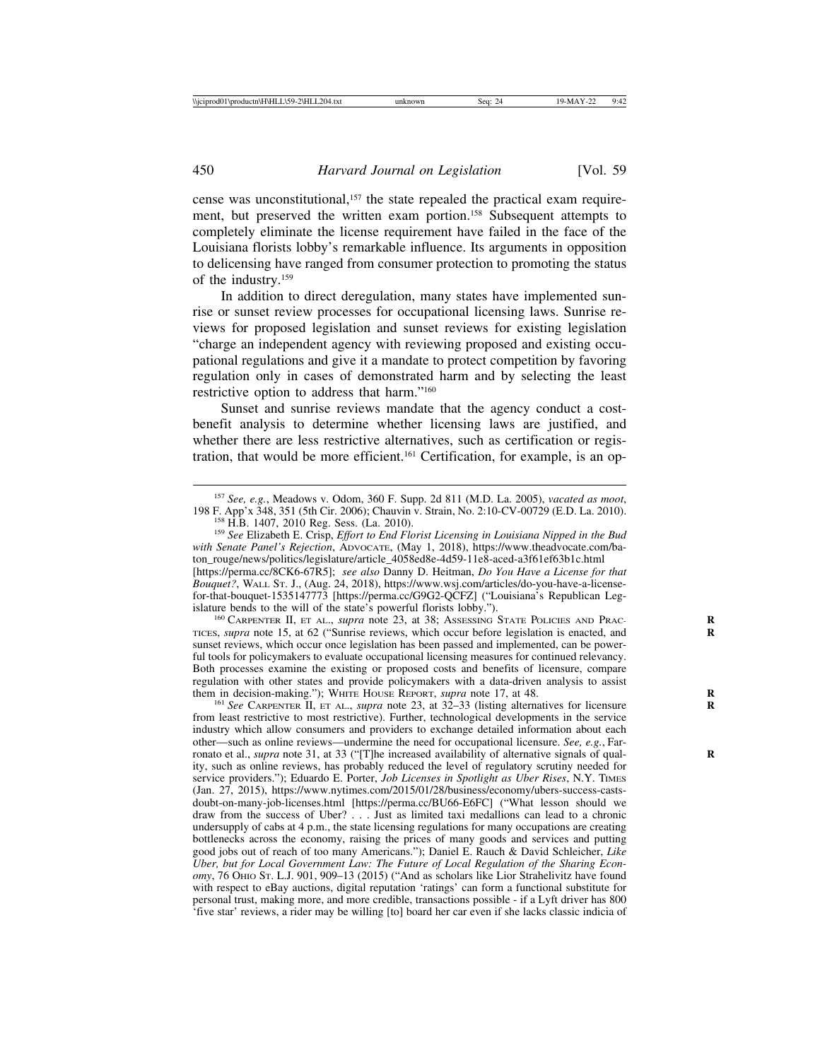cense was unconstitutional,<sup>157</sup> the state repealed the practical exam requirement, but preserved the written exam portion.<sup>158</sup> Subsequent attempts to completely eliminate the license requirement have failed in the face of the Louisiana florists lobby's remarkable influence. Its arguments in opposition to delicensing have ranged from consumer protection to promoting the status of the industry.159

In addition to direct deregulation, many states have implemented sunrise or sunset review processes for occupational licensing laws. Sunrise reviews for proposed legislation and sunset reviews for existing legislation "charge an independent agency with reviewing proposed and existing occupational regulations and give it a mandate to protect competition by favoring regulation only in cases of demonstrated harm and by selecting the least restrictive option to address that harm."160

Sunset and sunrise reviews mandate that the agency conduct a costbenefit analysis to determine whether licensing laws are justified, and whether there are less restrictive alternatives, such as certification or registration, that would be more efficient.161 Certification, for example, is an op-

*with Senate Panel's Rejection*, ADVOCATE, (May 1, 2018), https://www.theadvocate.com/baton\_rouge/news/politics/legislature/article\_4058ed8e-4d59-11e8-aced-a3f61ef63b1c.html [https://perma.cc/8CK6-67R5]; *see also* Danny D. Heitman, *Do You Have a License for that Bouquet?*, WALL ST. J., (Aug. 24, 2018), https://www.wsj.com/articles/do-you-have-a-licensefor-that-bouquet-1535147773 [https://perma.cc/G9G2-QCFZ] ("Louisiana's Republican Leg-<br>islature bends to the will of the state's powerful florists lobby.").

<sup>160</sup> CARPENTER II, ET AL., *supra* note 23, at 38; Assessing State Policies and Prac-TICES, *supra* note 15, at 62 ("Sunrise reviews, which occur before legislation is enacted, and **R** sunset reviews, which occur once legislation has been passed and implemented, can be powerful tools for policymakers to evaluate occupational licensing measures for continued relevancy. Both processes examine the existing or proposed costs and benefits of licensure, compare regulation with other states and provide policymakers with a data-driven analysis to assist them in decision-making."); WHITE HOUSE REPORT, *supra* note 17, at 48.

<sup>161</sup> See CARPENTER II, ET AL., *supra* note 23, at 32–33 (listing alternatives for licensure from least restrictive to most restrictive). Further, technological developments in the service industry which allow consumers and providers to exchange detailed information about each other—such as online reviews—undermine the need for occupational licensure. *See, e.g.*, Farronato et al., *supra* note 31, at 33 ("[T]he increased availability of alternative signals of quality, such as online reviews, has probably reduced the level of regulatory scrutiny needed for service providers."); Eduardo E. Porter, *Job Licenses in Spotlight as Uber Rises*, N.Y. TIMES (Jan. 27, 2015), https://www.nytimes.com/2015/01/28/business/economy/ubers-success-castsdoubt-on-many-job-licenses.html [https://perma.cc/BU66-E6FC] ("What lesson should we draw from the success of Uber? . . . Just as limited taxi medallions can lead to a chronic undersupply of cabs at 4 p.m., the state licensing regulations for many occupations are creating bottlenecks across the economy, raising the prices of many goods and services and putting good jobs out of reach of too many Americans."); Daniel E. Rauch & David Schleicher, *Like Uber, but for Local Government Law: The Future of Local Regulation of the Sharing Economy*, 76 OHIO ST. L.J. 901, 909–13 (2015) ("And as scholars like Lior Strahelivitz have found with respect to eBay auctions, digital reputation 'ratings' can form a functional substitute for personal trust, making more, and more credible, transactions possible - if a Lyft driver has 800 'five star' reviews, a rider may be willing [to] board her car even if she lacks classic indicia of

<sup>157</sup> *See, e.g.*, Meadows v. Odom, 360 F. Supp. 2d 811 (M.D. La. 2005), *vacated as moot*, 198 F. App'x 348, 351 (5th Cir. 2006); Chauvin v. Strain, No. 2:10-CV-00729 (E.D. La. 2010).<br><sup>158</sup> H.B. 1407, 2010 Reg. Sess. (La. 2010).<br><sup>159</sup> See Elizabeth E. Crisp, *Effort to End Florist Licensing in Louisiana Nipped i*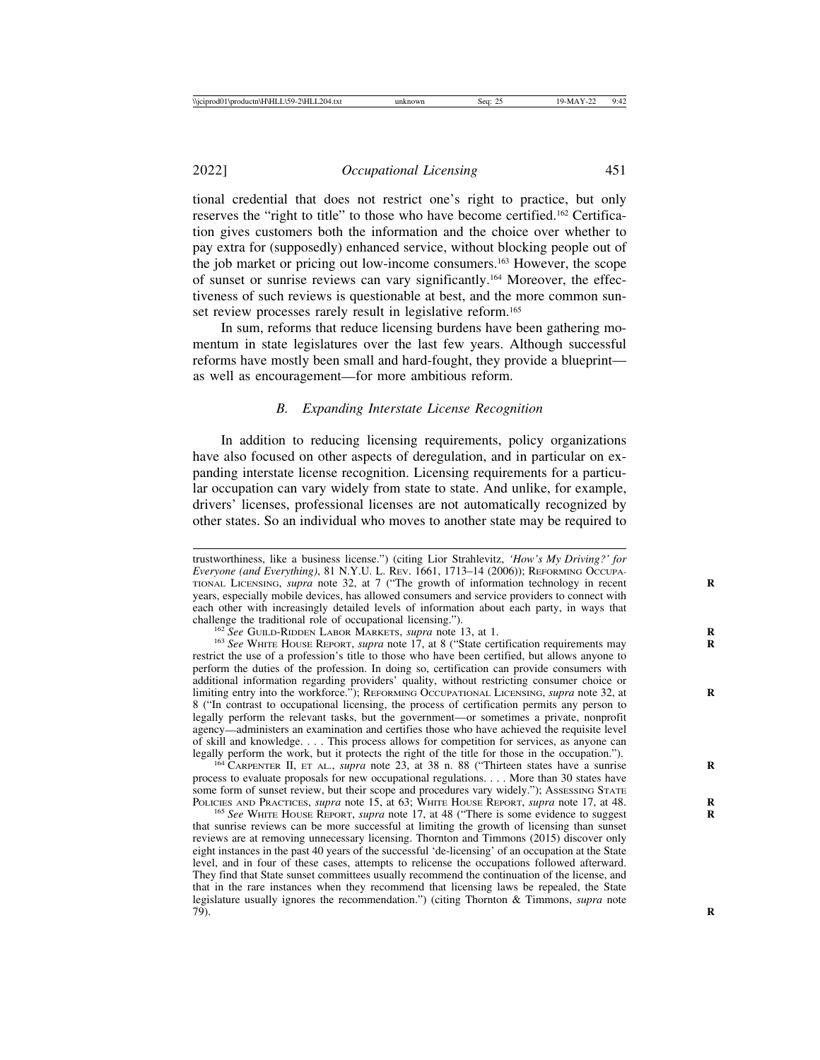2022] *Occupational Licensing* 451

tional credential that does not restrict one's right to practice, but only reserves the "right to title" to those who have become certified.162 Certification gives customers both the information and the choice over whether to pay extra for (supposedly) enhanced service, without blocking people out of the job market or pricing out low-income consumers.163 However, the scope of sunset or sunrise reviews can vary significantly.164 Moreover, the effectiveness of such reviews is questionable at best, and the more common sunset review processes rarely result in legislative reform.<sup>165</sup>

In sum, reforms that reduce licensing burdens have been gathering momentum in state legislatures over the last few years. Although successful reforms have mostly been small and hard-fought, they provide a blueprint as well as encouragement—for more ambitious reform.

#### *B. Expanding Interstate License Recognition*

In addition to reducing licensing requirements, policy organizations have also focused on other aspects of deregulation, and in particular on expanding interstate license recognition. Licensing requirements for a particular occupation can vary widely from state to state. And unlike, for example, drivers' licenses, professional licenses are not automatically recognized by other states. So an individual who moves to another state may be required to

<sup>164</sup> CARPENTER II, ET AL., *supra* note 23, at 38 n. 88 ("Thirteen states have a sunrise process to evaluate proposals for new occupational regulations. . . . More than 30 states have some form of sunset review, but their scope and procedures vary widely."); ASSESSING STATE POLICIES AND PRACTICES, *supra* note 15, at 63; WHITE HOUSE REPORT, *supra* note 17, at 48.

trustworthiness, like a business license.") (citing Lior Strahlevitz, *'How's My Driving?' for Everyone (and Everything)*, 81 N.Y.U. L. REV. 1661, 1713–14 (2006)); REFORMING OCCUPA-TIONAL LICENSING, *supra* note 32, at 7 ("The growth of information technology in recent **R** years, especially mobile devices, has allowed consumers and service providers to connect with each other with increasingly detailed levels of information about each party, in ways that challenge the traditional role of occupational licensing.").

<sup>&</sup>lt;sup>162</sup>See GUILD-RIDDEN LABOR MARKETS, *supra* note 13, at 1.<br><sup>163</sup>See WHITE HOUSE REPORT, *supra* note 17, at 8 ("State certification requirements may restrict the use of a profession's title to those who have been certified, but allows anyone to perform the duties of the profession. In doing so, certification can provide consumers with additional information regarding providers' quality, without restricting consumer choice or limiting entry into the workforce."); REFORMING OCCUPATIONAL LICENSING, *supra* note 32, at 8 ("In contrast to occupational licensing, the process of certification permits any person to legally perform the relevant tasks, but the government—or sometimes a private, nonprofit agency—administers an examination and certifies those who have achieved the requisite level of skill and knowledge. . . . This process allows for competition for services, as anyone can legally perform the work, but it protects the right of the title for those in the occupation.").

<sup>&</sup>lt;sup>165</sup> See WHITE HOUSE REPORT, *supra* note 17, at 48 ("There is some evidence to suggest that sunrise reviews can be more successful at limiting the growth of licensing than sunset reviews are at removing unnecessary licensing. Thornton and Timmons (2015) discover only eight instances in the past 40 years of the successful 'de-licensing' of an occupation at the State level, and in four of these cases, attempts to relicense the occupations followed afterward. They find that State sunset committees usually recommend the continuation of the license, and that in the rare instances when they recommend that licensing laws be repealed, the State legislature usually ignores the recommendation.") (citing Thornton & Timmons, *supra* note 79). **R**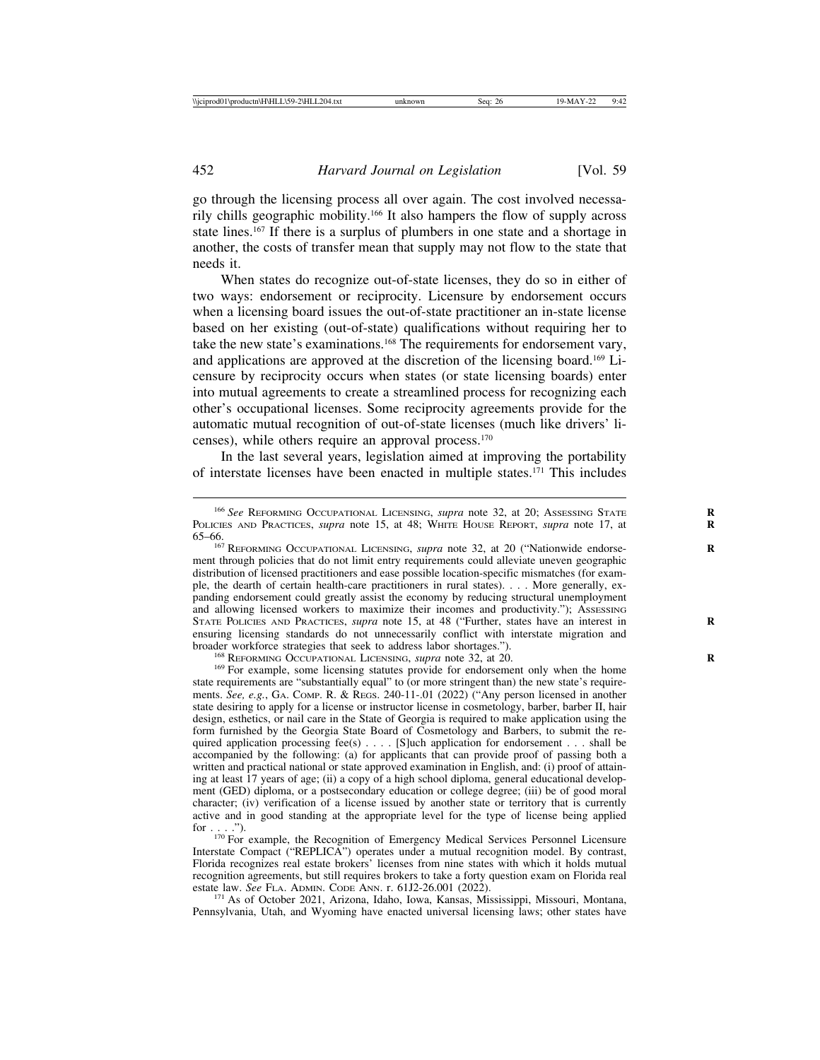go through the licensing process all over again. The cost involved necessarily chills geographic mobility.166 It also hampers the flow of supply across state lines.<sup>167</sup> If there is a surplus of plumbers in one state and a shortage in another, the costs of transfer mean that supply may not flow to the state that needs it.

When states do recognize out-of-state licenses, they do so in either of two ways: endorsement or reciprocity. Licensure by endorsement occurs when a licensing board issues the out-of-state practitioner an in-state license based on her existing (out-of-state) qualifications without requiring her to take the new state's examinations.168 The requirements for endorsement vary, and applications are approved at the discretion of the licensing board.169 Licensure by reciprocity occurs when states (or state licensing boards) enter into mutual agreements to create a streamlined process for recognizing each other's occupational licenses. Some reciprocity agreements provide for the automatic mutual recognition of out-of-state licenses (much like drivers' licenses), while others require an approval process.170

In the last several years, legislation aimed at improving the portability of interstate licenses have been enacted in multiple states.171 This includes

<sup>168</sup> REFORMING OCCUPATIONAL LICENSING, *supra* note 32, at 20.<br><sup>169</sup> For example, some licensing statutes provide for endorsement only when the home state requirements are "substantially equal" to (or more stringent than) the new state's requirements. *See, e.g.*, GA. COMP. R. & REGS. 240-11-.01 (2022) ("Any person licensed in another state desiring to apply for a license or instructor license in cosmetology, barber, barber II, hair design, esthetics, or nail care in the State of Georgia is required to make application using the form furnished by the Georgia State Board of Cosmetology and Barbers, to submit the required application processing  $fee(s)$ .... [S]uch application for endorsement ... shall be accompanied by the following: (a) for applicants that can provide proof of passing both a written and practical national or state approved examination in English, and: (i) proof of attaining at least 17 years of age; (ii) a copy of a high school diploma, general educational development (GED) diploma, or a postsecondary education or college degree; (iii) be of good moral character; (iv) verification of a license issued by another state or territory that is currently active and in good standing at the appropriate level for the type of license being applied

for . . . .").<br><sup>170</sup> For example, the Recognition of Emergency Medical Services Personnel Licensure Interstate Compact ("REPLICA") operates under a mutual recognition model. By contrast, Florida recognizes real estate brokers' licenses from nine states with which it holds mutual recognition agreements, but still requires brokers to take a forty question exam on Florida real estate law. *See* FLA. ADMIN. CODE ANN. r. 61J2-26.001 (2022).<br><sup>171</sup> As of October 2021, Arizona, Idaho, Iowa, Kansas, Mississippi, Missouri, Montana,

Pennsylvania, Utah, and Wyoming have enacted universal licensing laws; other states have

<sup>166</sup> *See* REFORMING OCCUPATIONAL LICENSING, *supra* note 32, at 20; ASSESSING STATE **R** POLICIES AND PRACTICES, *supra* note 15, at 48; WHITE HOUSE REPORT, *supra* note 17, at 65–66.

<sup>&</sup>lt;sup>167</sup> REFORMING OCCUPATIONAL LICENSING, *supra* note 32, at 20 ("Nationwide endorsement through policies that do not limit entry requirements could alleviate uneven geographic distribution of licensed practitioners and ease possible location-specific mismatches (for example, the dearth of certain health-care practitioners in rural states). . . . More generally, expanding endorsement could greatly assist the economy by reducing structural unemployment and allowing licensed workers to maximize their incomes and productivity."); Assessing STATE POLICIES AND PRACTICES, *supra* note 15, at 48 ("Further, states have an interest in ensuring licensing standards do not unnecessarily conflict with interstate migration and broader workforce strategies that seek to address labor shortages.").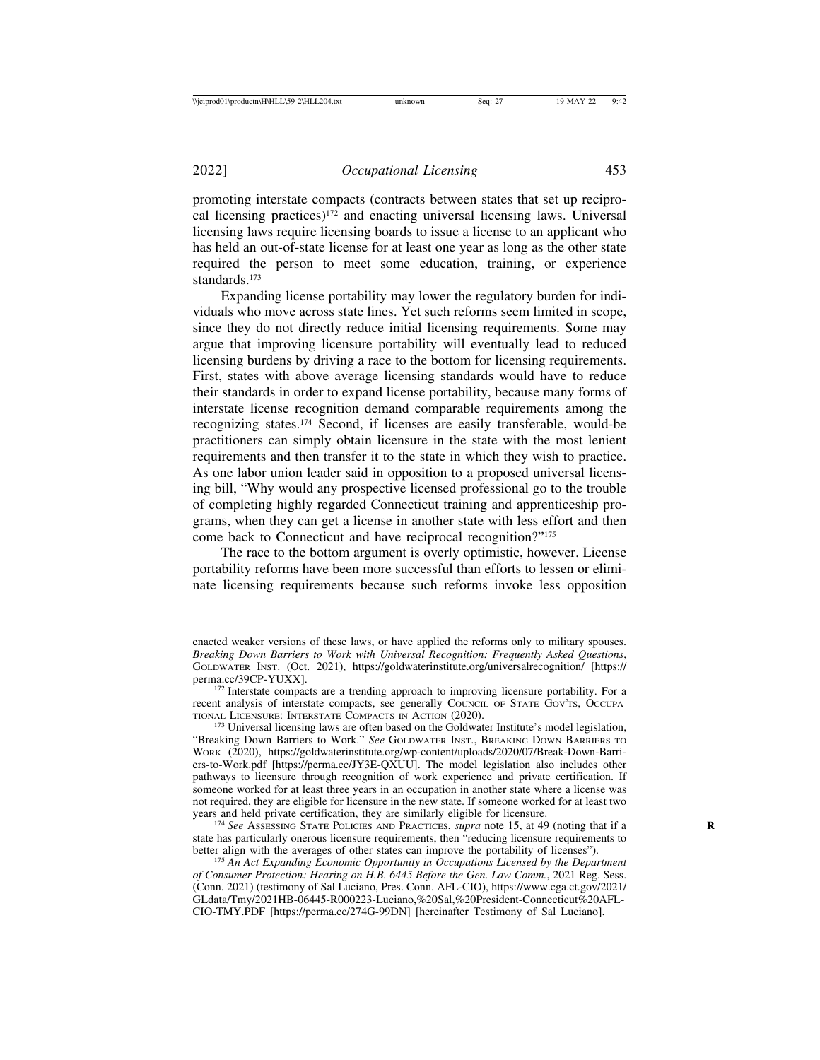promoting interstate compacts (contracts between states that set up reciprocal licensing practices)172 and enacting universal licensing laws. Universal licensing laws require licensing boards to issue a license to an applicant who has held an out-of-state license for at least one year as long as the other state required the person to meet some education, training, or experience standards.173

Expanding license portability may lower the regulatory burden for individuals who move across state lines. Yet such reforms seem limited in scope, since they do not directly reduce initial licensing requirements. Some may argue that improving licensure portability will eventually lead to reduced licensing burdens by driving a race to the bottom for licensing requirements. First, states with above average licensing standards would have to reduce their standards in order to expand license portability, because many forms of interstate license recognition demand comparable requirements among the recognizing states.174 Second, if licenses are easily transferable, would-be practitioners can simply obtain licensure in the state with the most lenient requirements and then transfer it to the state in which they wish to practice. As one labor union leader said in opposition to a proposed universal licensing bill, "Why would any prospective licensed professional go to the trouble of completing highly regarded Connecticut training and apprenticeship programs, when they can get a license in another state with less effort and then come back to Connecticut and have reciprocal recognition?"175

The race to the bottom argument is overly optimistic, however. License portability reforms have been more successful than efforts to lessen or eliminate licensing requirements because such reforms invoke less opposition

enacted weaker versions of these laws, or have applied the reforms only to military spouses. *Breaking Down Barriers to Work with Universal Recognition: Frequently Asked Questions*, GOLDWATER INST. (Oct. 2021), https://goldwaterinstitute.org/universalrecognition/ [https://

<sup>&</sup>lt;sup>172</sup> Interstate compacts are a trending approach to improving licensure portability. For a recent analysis of interstate compacts, see generally COUNCIL OF STATE GOV'TS, OCCUPATIONAL LICENSURE: INTERSTATE COMPACTS IN ACTION (2020).

<sup>&</sup>lt;sup>173</sup> Universal licensing laws are often based on the Goldwater Institute's model legislation, "Breaking Down Barriers to Work." *See* GOLDWATER INST., BREAKING DOWN BARRIERS TO WORK (2020), https://goldwaterinstitute.org/wp-content/uploads/2020/07/Break-Down-Barriers-to-Work.pdf [https://perma.cc/JY3E-QXUU]. The model legislation also includes other pathways to licensure through recognition of work experience and private certification. If someone worked for at least three years in an occupation in another state where a license was not required, they are eligible for licensure in the new state. If someone worked for at least two years and held private certification, they are similarly eligible for licensure.

<sup>&</sup>lt;sup>174</sup> See Assessing State Policies and Practices, *supra* note 15, at 49 (noting that if a state has particularly onerous licensure requirements, then "reducing licensure requirements to better align with the averages of other states can improve the portability of licenses").

<sup>&</sup>lt;sup>175</sup> An Act Expanding Economic Opportunity in Occupations Licensed by the Department *of Consumer Protection: Hearing on H.B. 6445 Before the Gen. Law Comm.*, 2021 Reg. Sess. (Conn. 2021) (testimony of Sal Luciano, Pres. Conn. AFL-CIO), https://www.cga.ct.gov/2021/ GLdata/Tmy/2021HB-06445-R000223-Luciano,%20Sal,%20President-Connecticut%20AFL-CIO-TMY.PDF [https://perma.cc/274G-99DN] [hereinafter Testimony of Sal Luciano].